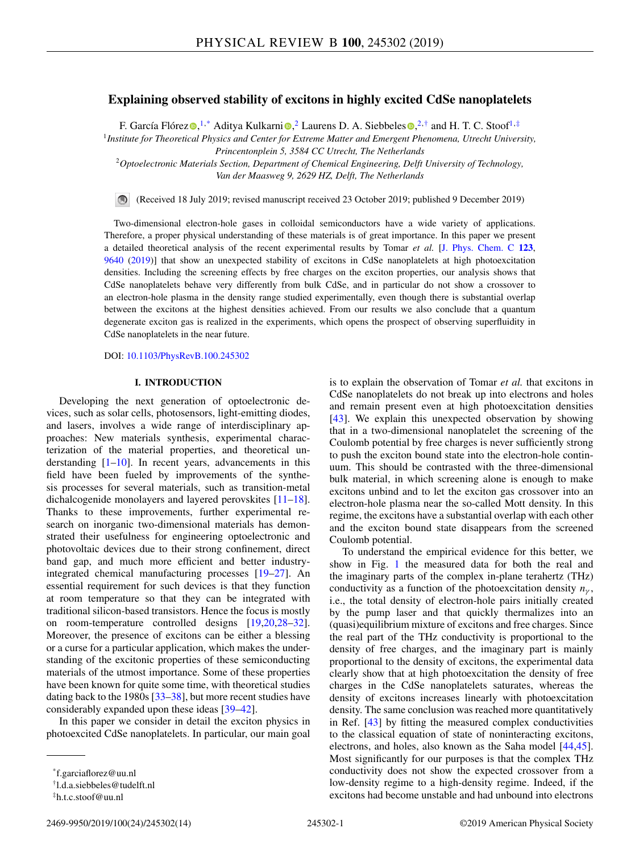# **Explaining observed stability of excitons in highly excited CdSe nanoplatelets**

F. García Flóre[z](https://orcid.org/0000-0002-5275-9903) $\bm{\odot}, ^{1,*}$  Ad[i](https://orcid.org/0000-0002-5840-8768)tya Kulkarni $\bm{\odot}, ^2$  Lauren[s](https://orcid.org/0000-0002-4812-7495) D. A. Siebbeles $\bm{\odot}, ^{2,*}$  and H. T. C. Stoof $^{1,*}$ 

<sup>1</sup>*Institute for Theoretical Physics and Center for Extreme Matter and Emergent Phenomena, Utrecht University, Princentonplein 5, 3584 CC Utrecht, The Netherlands*

<sup>2</sup>*Optoelectronic Materials Section, Department of Chemical Engineering, Delft University of Technology, Van der Maasweg 9, 2629 HZ, Delft, The Netherlands*

(Received 18 July 2019; revised manuscript received 23 October 2019; published 9 December 2019)

Two-dimensional electron-hole gases in colloidal semiconductors have a wide variety of applications. Therefore, a proper physical understanding of these materials is of great importance. In this paper we present a detailed theoretical analysis of the recent experimental results by Tomar *et al.* [\[J. Phys. Chem. C](https://doi.org/10.1021/acs.jpcc.9b02085) **[123](https://doi.org/10.1021/acs.jpcc.9b02085)**, [9640](https://doi.org/10.1021/acs.jpcc.9b02085) [\(2019\)](https://doi.org/10.1021/acs.jpcc.9b02085)] that show an unexpected stability of excitons in CdSe nanoplatelets at high photoexcitation densities. Including the screening effects by free charges on the exciton properties, our analysis shows that CdSe nanoplatelets behave very differently from bulk CdSe, and in particular do not show a crossover to an electron-hole plasma in the density range studied experimentally, even though there is substantial overlap between the excitons at the highest densities achieved. From our results we also conclude that a quantum degenerate exciton gas is realized in the experiments, which opens the prospect of observing superfluidity in CdSe nanoplatelets in the near future.

DOI: [10.1103/PhysRevB.100.245302](https://doi.org/10.1103/PhysRevB.100.245302)

# **I. INTRODUCTION**

Developing the next generation of optoelectronic devices, such as solar cells, photosensors, light-emitting diodes, and lasers, involves a wide range of interdisciplinary approaches: New materials synthesis, experimental characterization of the material properties, and theoretical understanding  $[1–10]$ . In recent years, advancements in this field have been fueled by improvements of the synthesis processes for several materials, such as transition-metal dichalcogenide monolayers and layered perovskites [\[11](#page-11-0)[–18\]](#page-12-0). Thanks to these improvements, further experimental research on inorganic two-dimensional materials has demonstrated their usefulness for engineering optoelectronic and photovoltaic devices due to their strong confinement, direct band gap, and much more efficient and better industryintegrated chemical manufacturing processes [\[19–27\]](#page-12-0). An essential requirement for such devices is that they function at room temperature so that they can be integrated with traditional silicon-based transistors. Hence the focus is mostly on room-temperature controlled designs [\[19,20,28–32\]](#page-12-0). Moreover, the presence of excitons can be either a blessing or a curse for a particular application, which makes the understanding of the excitonic properties of these semiconducting materials of the utmost importance. Some of these properties have been known for quite some time, with theoretical studies dating back to the 1980s [\[33–38\]](#page-12-0), but more recent studies have considerably expanded upon these ideas [\[39–42\]](#page-12-0).

In this paper we consider in detail the exciton physics in photoexcited CdSe nanoplatelets. In particular, our main goal

2469-9950/2019/100(24)/245302(14) 245302-1 ©2019 American Physical Society

is to explain the observation of Tomar *et al.* that excitons in CdSe nanoplatelets do not break up into electrons and holes and remain present even at high photoexcitation densities [\[43\]](#page-12-0). We explain this unexpected observation by showing that in a two-dimensional nanoplatelet the screening of the Coulomb potential by free charges is never sufficiently strong to push the exciton bound state into the electron-hole continuum. This should be contrasted with the three-dimensional bulk material, in which screening alone is enough to make excitons unbind and to let the exciton gas crossover into an electron-hole plasma near the so-called Mott density. In this regime, the excitons have a substantial overlap with each other and the exciton bound state disappears from the screened Coulomb potential.

To understand the empirical evidence for this better, we show in Fig. [1](#page-1-0) the measured data for both the real and the imaginary parts of the complex in-plane terahertz (THz) conductivity as a function of the photoexcitation density  $n<sub>\gamma</sub>$ , i.e., the total density of electron-hole pairs initially created by the pump laser and that quickly thermalizes into an (quasi)equilibrium mixture of excitons and free charges. Since the real part of the THz conductivity is proportional to the density of free charges, and the imaginary part is mainly proportional to the density of excitons, the experimental data clearly show that at high photoexcitation the density of free charges in the CdSe nanoplatelets saturates, whereas the density of excitons increases linearly with photoexcitation density. The same conclusion was reached more quantitatively in Ref. [\[43\]](#page-12-0) by fitting the measured complex conductivities to the classical equation of state of noninteracting excitons, electrons, and holes, also known as the Saha model [\[44,45\]](#page-12-0). Most significantly for our purposes is that the complex THz conductivity does not show the expected crossover from a low-density regime to a high-density regime. Indeed, if the excitons had become unstable and had unbound into electrons

<sup>\*</sup>f.garciaflorez@uu.nl

<sup>†</sup>l.d.a.siebbeles@tudelft.nl

<sup>‡</sup>h.t.c.stoof@uu.nl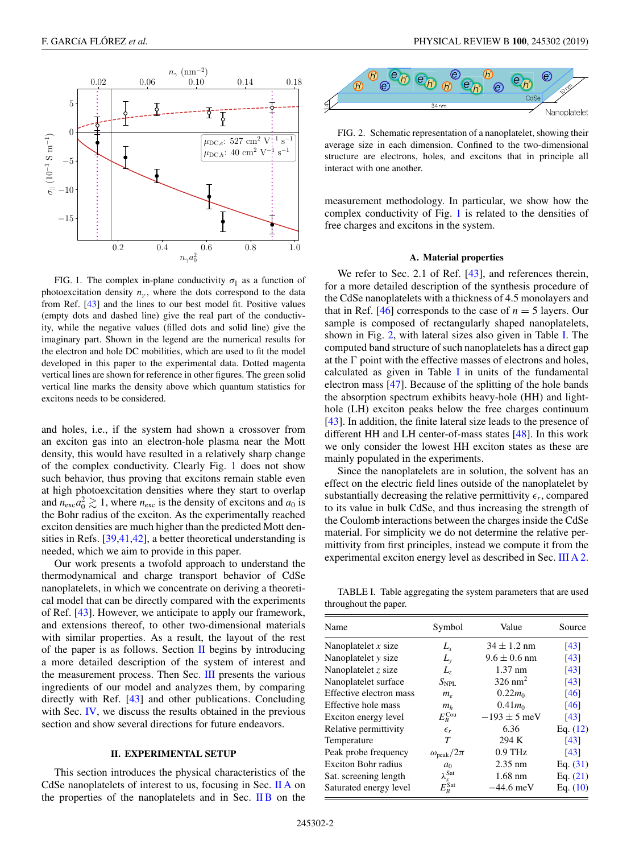<span id="page-1-0"></span>

FIG. 1. The complex in-plane conductivity  $\sigma_{\parallel}$  as a function of photoexcitation density  $n<sub>v</sub>$ , where the dots correspond to the data from Ref. [\[43\]](#page-12-0) and the lines to our best model fit. Positive values (empty dots and dashed line) give the real part of the conductivity, while the negative values (filled dots and solid line) give the imaginary part. Shown in the legend are the numerical results for the electron and hole DC mobilities, which are used to fit the model developed in this paper to the experimental data. Dotted magenta vertical lines are shown for reference in other figures. The green solid vertical line marks the density above which quantum statistics for excitons needs to be considered.

and holes, i.e., if the system had shown a crossover from an exciton gas into an electron-hole plasma near the Mott density, this would have resulted in a relatively sharp change of the complex conductivity. Clearly Fig. 1 does not show such behavior, thus proving that excitons remain stable even at high photoexcitation densities where they start to overlap and  $n_{\text{exc}}a_0^2 \gtrsim 1$ , where  $n_{\text{exc}}$  is the density of excitons and  $a_0$  is the Bohr radius of the exciton. As the experimentally reached exciton densities are much higher than the predicted Mott densities in Refs. [\[39,41,42\]](#page-12-0), a better theoretical understanding is needed, which we aim to provide in this paper.

Our work presents a twofold approach to understand the thermodynamical and charge transport behavior of CdSe nanoplatelets, in which we concentrate on deriving a theoretical model that can be directly compared with the experiments of Ref. [\[43\]](#page-12-0). However, we anticipate to apply our framework, and extensions thereof, to other two-dimensional materials with similar properties. As a result, the layout of the rest of the paper is as follows. Section  $II$  begins by introducing a more detailed description of the system of interest and the measurement process. Then Sec. [III](#page-2-0) presents the various ingredients of our model and analyzes them, by comparing directly with Ref. [\[43\]](#page-12-0) and other publications. Concluding with Sec. [IV,](#page-9-0) we discuss the results obtained in the previous section and show several directions for future endeavors.

# **II. EXPERIMENTAL SETUP**

This section introduces the physical characteristics of the CdSe nanoplatelets of interest to us, focusing in Sec. II A on the properties of the nanoplatelets and in Sec.  $\overline{I}$  IB on the



FIG. 2. Schematic representation of a nanoplatelet, showing their average size in each dimension. Confined to the two-dimensional structure are electrons, holes, and excitons that in principle all interact with one another.

measurement methodology. In particular, we show how the complex conductivity of Fig. 1 is related to the densities of free charges and excitons in the system.

#### **A. Material properties**

We refer to Sec. 2.1 of Ref. [\[43\]](#page-12-0), and references therein, for a more detailed description of the synthesis procedure of the CdSe nanoplatelets with a thickness of 4.5 monolayers and that in Ref.  $[46]$  corresponds to the case of  $n = 5$  layers. Our sample is composed of rectangularly shaped nanoplatelets, shown in Fig. 2, with lateral sizes also given in Table I. The computed band structure of such nanoplatelets has a direct gap at the  $\Gamma$  point with the effective masses of electrons and holes, calculated as given in Table I in units of the fundamental electron mass [\[47\]](#page-12-0). Because of the splitting of the hole bands the absorption spectrum exhibits heavy-hole (HH) and lighthole (LH) exciton peaks below the free charges continuum [\[43\]](#page-12-0). In addition, the finite lateral size leads to the presence of different HH and LH center-of-mass states [\[48\]](#page-12-0). In this work we only consider the lowest HH exciton states as these are mainly populated in the experiments.

Since the nanoplatelets are in solution, the solvent has an effect on the electric field lines outside of the nanoplatelet by substantially decreasing the relative permittivity  $\epsilon_r$ , compared to its value in bulk CdSe, and thus increasing the strength of the Coulomb interactions between the charges inside the CdSe material. For simplicity we do not determine the relative permittivity from first principles, instead we compute it from the experimental exciton energy level as described in Sec. [III A 2.](#page-3-0)

TABLE I. Table aggregating the system parameters that are used throughout the paper.

| Name                       | Symbol                   | Value                        | Source             |
|----------------------------|--------------------------|------------------------------|--------------------|
| Nanoplatelet $x$ size      | $L_{r}$                  | $34 \pm 1.2$ nm              | [43]               |
| Nanoplatelet y size        | $L_{\rm v}$              | $9.6 \pm 0.6$ nm             | $\lceil 43 \rceil$ |
| Nanoplatelet $z$ size      | L,                       | $1.37$ nm                    | [43]               |
| Nanoplatelet surface       | $S_{\rm NPI}$ .          | $326$ nm <sup>2</sup>        | [43]               |
| Effective electron mass    | $m_e$                    | $0.22m_0$                    | [46]               |
| Effective hole mass        | $m_h$                    | $0.41$ <i>m</i> <sub>0</sub> | [46]               |
| Exciton energy level       | $E_B^{\rm Cou}$          | $-193 \pm 5$ meV             | [43]               |
| Relative permittivity      | $\epsilon_r$             | 6.36                         | Eq. $(12)$         |
| Temperature                | T                        | 294 K                        | [43]               |
| Peak probe frequency       | $\omega_{\rm peak}/2\pi$ | $0.9$ THz                    | [43]               |
| <b>Exciton Bohr radius</b> | a <sub>0</sub>           | $2.35$ nm                    | Eq. $(31)$         |
| Sat. screening length      | $\lambda_s^{\text{Sat}}$ | $1.68$ nm                    | Eq. $(21)$         |
| Saturated energy level     | $E_R^{\,\rm Sat}$        | $-44.6$ meV                  | Eq. $(10)$         |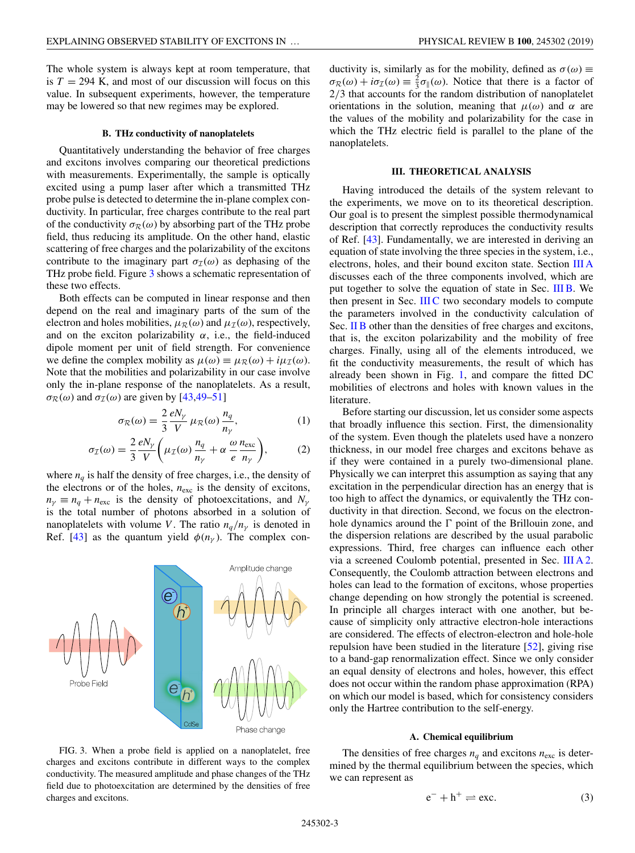<span id="page-2-0"></span>The whole system is always kept at room temperature, that is  $T = 294$  K, and most of our discussion will focus on this value. In subsequent experiments, however, the temperature may be lowered so that new regimes may be explored.

### **B. THz conductivity of nanoplatelets**

Quantitatively understanding the behavior of free charges and excitons involves comparing our theoretical predictions with measurements. Experimentally, the sample is optically excited using a pump laser after which a transmitted THz probe pulse is detected to determine the in-plane complex conductivity. In particular, free charges contribute to the real part of the conductivity  $\sigma_R(\omega)$  by absorbing part of the THz probe field, thus reducing its amplitude. On the other hand, elastic scattering of free charges and the polarizability of the excitons contribute to the imaginary part  $\sigma_{\mathcal{I}}(\omega)$  as dephasing of the THz probe field. Figure 3 shows a schematic representation of these two effects.

Both effects can be computed in linear response and then depend on the real and imaginary parts of the sum of the electron and holes mobilities,  $\mu_R(\omega)$  and  $\mu_I(\omega)$ , respectively, and on the exciton polarizability  $\alpha$ , i.e., the field-induced dipole moment per unit of field strength. For convenience we define the complex mobility as  $\mu(\omega) \equiv \mu_{\mathcal{R}}(\omega) + i\mu_{\mathcal{I}}(\omega)$ . Note that the mobilities and polarizability in our case involve only the in-plane response of the nanoplatelets. As a result,  $\sigma_{\mathcal{R}}(\omega)$  and  $\sigma_{\mathcal{I}}(\omega)$  are given by [\[43,49](#page-12-0)[–51\]](#page-13-0)

$$
\sigma_{\mathcal{R}}(\omega) = \frac{2}{3} \frac{eN_{\gamma}}{V} \mu_{\mathcal{R}}(\omega) \frac{n_q}{n_{\gamma}},
$$
 (1)

$$
\sigma_{\mathcal{I}}(\omega) = \frac{2}{3} \frac{eN_{\gamma}}{V} \left( \mu_{\mathcal{I}}(\omega) \frac{n_q}{n_{\gamma}} + \alpha \frac{\omega}{e} \frac{n_{\text{exc}}}{n_{\gamma}} \right), \tag{2}
$$

where  $n_a$  is half the density of free charges, i.e., the density of the electrons or of the holes,  $n_{\text{exc}}$  is the density of excitons,  $n<sub>\gamma</sub> \equiv n<sub>q</sub> + n<sub>exc</sub>$  is the density of photoexcitations, and *N*<sub>γ</sub> is the total number of photons absorbed in a solution of nanoplatelets with volume *V*. The ratio  $n_q/n_\gamma$  is denoted in Ref. [\[43\]](#page-12-0) as the quantum yield  $\phi(n_v)$ . The complex con-



ductivity is, similarly as for the mobility, defined as  $\sigma(\omega) \equiv$  $\sigma_{\mathcal{R}}(\omega) + i\sigma_{\mathcal{I}}(\omega) \equiv \frac{2}{3}\sigma_{\parallel}(\omega)$ . Notice that there is a factor of 2/3 that accounts for the random distribution of nanoplatelet orientations in the solution, meaning that  $\mu(\omega)$  and  $\alpha$  are the values of the mobility and polarizability for the case in which the THz electric field is parallel to the plane of the nanoplatelets.

### **III. THEORETICAL ANALYSIS**

Having introduced the details of the system relevant to the experiments, we move on to its theoretical description. Our goal is to present the simplest possible thermodynamical description that correctly reproduces the conductivity results of Ref. [\[43\]](#page-12-0). Fundamentally, we are interested in deriving an equation of state involving the three species in the system, i.e., electrons, holes, and their bound exciton state. Section III A discusses each of the three components involved, which are put together to solve the equation of state in Sec. [III B.](#page-6-0) We then present in Sec.  $IIIC$  two secondary models to compute the parameters involved in the conductivity calculation of Sec. II B other than the densities of free charges and excitons, that is, the exciton polarizability and the mobility of free charges. Finally, using all of the elements introduced, we fit the conductivity measurements, the result of which has already been shown in Fig. [1,](#page-1-0) and compare the fitted DC mobilities of electrons and holes with known values in the literature.

Before starting our discussion, let us consider some aspects that broadly influence this section. First, the dimensionality of the system. Even though the platelets used have a nonzero thickness, in our model free charges and excitons behave as if they were contained in a purely two-dimensional plane. Physically we can interpret this assumption as saying that any excitation in the perpendicular direction has an energy that is too high to affect the dynamics, or equivalently the THz conductivity in that direction. Second, we focus on the electronhole dynamics around the  $\Gamma$  point of the Brillouin zone, and the dispersion relations are described by the usual parabolic expressions. Third, free charges can influence each other via a screened Coulomb potential, presented in Sec. [III A 2.](#page-3-0) Consequently, the Coulomb attraction between electrons and holes can lead to the formation of excitons, whose properties change depending on how strongly the potential is screened. In principle all charges interact with one another, but because of simplicity only attractive electron-hole interactions are considered. The effects of electron-electron and hole-hole repulsion have been studied in the literature [\[52\]](#page-13-0), giving rise to a band-gap renormalization effect. Since we only consider an equal density of electrons and holes, however, this effect does not occur within the random phase approximation (RPA) on which our model is based, which for consistency considers only the Hartree contribution to the self-energy.

#### **A. Chemical equilibrium**

FIG. 3. When a probe field is applied on a nanoplatelet, free charges and excitons contribute in different ways to the complex conductivity. The measured amplitude and phase changes of the THz field due to photoexcitation are determined by the densities of free charges and excitons.

The densities of free charges  $n_q$  and excitons  $n_{\text{exc}}$  is determined by the thermal equilibrium between the species, which we can represent as

$$
e^- + h^+ \rightleftharpoons \text{exc.} \tag{3}
$$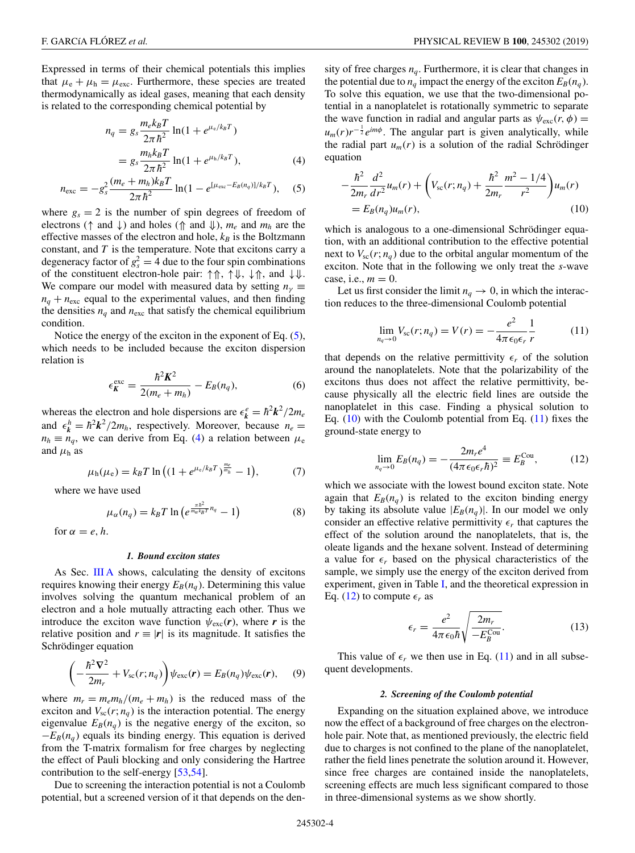<span id="page-3-0"></span>Expressed in terms of their chemical potentials this implies that  $\mu_e + \mu_h = \mu_{\text{exc}}$ . Furthermore, these species are treated thermodynamically as ideal gases, meaning that each density is related to the corresponding chemical potential by

$$
n_q = g_s \frac{m_e k_B T}{2\pi \hbar^2} \ln(1 + e^{\mu_e/k_B T})
$$
  
=  $g_s \frac{m_h k_B T}{2\pi \hbar^2} \ln(1 + e^{\mu_h/k_B T}),$  (4)

$$
n_{\rm exc} = -g_s^2 \frac{(m_e + m_h)k_B T}{2\pi\hbar^2} \ln(1 - e^{[\mu_{\rm exc} - E_B(n_q)]/k_B T}), \quad (5)
$$

where  $g_s = 2$  is the number of spin degrees of freedom of electrons (↑ and ↓) and holes (⇑ and ⇓), *me* and *mh* are the effective masses of the electron and hole,  $k_B$  is the Boltzmann constant, and *T* is the temperature. Note that excitons carry a degeneracy factor of  $g_s^2 = 4$  due to the four spin combinations of the constituent electron-hole pair: ↑⇑, ↑⇓, ↓⇑, and ↓⇓. We compare our model with measured data by setting  $n_\gamma \equiv$  $n_q + n_{\text{exc}}$  equal to the experimental values, and then finding the densities  $n_q$  and  $n_{\text{exc}}$  that satisfy the chemical equilibrium condition.

Notice the energy of the exciton in the exponent of Eq. (5), which needs to be included because the exciton dispersion relation is

$$
\epsilon_K^{\text{exc}} = \frac{\hbar^2 K^2}{2(m_e + m_h)} - E_B(n_q),\tag{6}
$$

whereas the electron and hole dispersions are  $\epsilon_k^e = \hbar^2 k^2 / 2m_e$ and  $\epsilon_k^h = \hbar^2 k^2 / 2m_h$ , respectively. Moreover, because  $n_e =$  $n_h \equiv n_q$ , we can derive from Eq. (4) a relation between  $\mu_e$ and  $\mu_h$  as

$$
\mu_{h}(\mu_{e}) = k_{B}T \ln \left( (1 + e^{\mu_{e}/k_{B}T})^{\frac{m_{e}}{m_{h}}} - 1 \right), \tag{7}
$$

where we have used

$$
\mu_{\alpha}(n_q) = k_B T \ln \left( e^{\frac{\pi h^2}{m_{\alpha} k_B T} n_q} - 1 \right) \tag{8}
$$

for  $\alpha = e, h$ .

### *1. Bound exciton states*

As Sec. [III A](#page-2-0) shows, calculating the density of excitons requires knowing their energy  $E_B(n_q)$ . Determining this value involves solving the quantum mechanical problem of an electron and a hole mutually attracting each other. Thus we introduce the exciton wave function  $\psi_{\text{exc}}(\mathbf{r})$ , where **r** is the relative position and  $r \equiv |r|$  is its magnitude. It satisfies the Schrödinger equation

$$
\left(-\frac{\hbar^2 \nabla^2}{2m_r} + V_{\rm sc}(r; n_q)\right) \psi_{\rm exc}(\mathbf{r}) = E_B(n_q) \psi_{\rm exc}(\mathbf{r}), \quad (9)
$$

where  $m_r = m_e m_h / (m_e + m_h)$  is the reduced mass of the exciton and  $V_{\rm sc}(r; n_q)$  is the interaction potential. The energy eigenvalue  $E_B(n_q)$  is the negative energy of the exciton, so  $-E_B(n_a)$  equals its binding energy. This equation is derived from the T-matrix formalism for free charges by neglecting the effect of Pauli blocking and only considering the Hartree contribution to the self-energy [\[53,54\]](#page-13-0).

Due to screening the interaction potential is not a Coulomb potential, but a screened version of it that depends on the density of free charges  $n_q$ . Furthermore, it is clear that changes in the potential due to  $n_q$  impact the energy of the exciton  $E_B(n_q)$ . To solve this equation, we use that the two-dimensional potential in a nanoplatelet is rotationally symmetric to separate the wave function in radial and angular parts as  $\psi_{\text{exc}}(r, \phi) =$  $u_m(r)r^{-\frac{1}{2}}e^{im\phi}$ . The angular part is given analytically, while the radial part  $u_m(r)$  is a solution of the radial Schrödinger equation

$$
-\frac{\hbar^2}{2m_r}\frac{d^2}{dr^2}u_m(r) + \left(V_{sc}(r;n_q) + \frac{\hbar^2}{2m_r}\frac{m^2 - 1/4}{r^2}\right)u_m(r) = E_B(n_q)u_m(r),
$$
\n(10)

which is analogous to a one-dimensional Schrödinger equation, with an additional contribution to the effective potential next to  $V_{\text{sc}}(r; n_q)$  due to the orbital angular momentum of the exciton. Note that in the following we only treat the *s*-wave case, i.e.,  $m = 0$ .

Let us first consider the limit  $n_q \to 0$ , in which the interaction reduces to the three-dimensional Coulomb potential

$$
\lim_{n_q \to 0} V_{\rm sc}(r; n_q) = V(r) = -\frac{e^2}{4\pi \epsilon_0 \epsilon_r} \frac{1}{r}
$$
 (11)

that depends on the relative permittivity  $\epsilon_r$  of the solution around the nanoplatelets. Note that the polarizability of the excitons thus does not affect the relative permittivity, because physically all the electric field lines are outside the nanoplatelet in this case. Finding a physical solution to Eq. (10) with the Coulomb potential from Eq. (11) fixes the ground-state energy to

$$
\lim_{n_q \to 0} E_B(n_q) = -\frac{2m_r e^4}{(4\pi \epsilon_0 \epsilon_r \hbar)^2} \equiv E_B^{\text{Cou}},\tag{12}
$$

which we associate with the lowest bound exciton state. Note again that  $E_B(n_q)$  is related to the exciton binding energy by taking its absolute value  $|E_B(n_q)|$ . In our model we only consider an effective relative permittivity  $\epsilon_r$  that captures the effect of the solution around the nanoplatelets, that is, the oleate ligands and the hexane solvent. Instead of determining a value for  $\epsilon_r$  based on the physical characteristics of the sample, we simply use the energy of the exciton derived from experiment, given in Table [I,](#page-1-0) and the theoretical expression in Eq. (12) to compute  $\epsilon_r$  as

$$
\epsilon_r = \frac{e^2}{4\pi\epsilon_0\hbar} \sqrt{\frac{2m_r}{-E_B^{\text{Cou}}}}.\tag{13}
$$

This value of  $\epsilon_r$  we then use in Eq. (11) and in all subsequent developments.

#### *2. Screening of the Coulomb potential*

Expanding on the situation explained above, we introduce now the effect of a background of free charges on the electronhole pair. Note that, as mentioned previously, the electric field due to charges is not confined to the plane of the nanoplatelet, rather the field lines penetrate the solution around it. However, since free charges are contained inside the nanoplatelets, screening effects are much less significant compared to those in three-dimensional systems as we show shortly.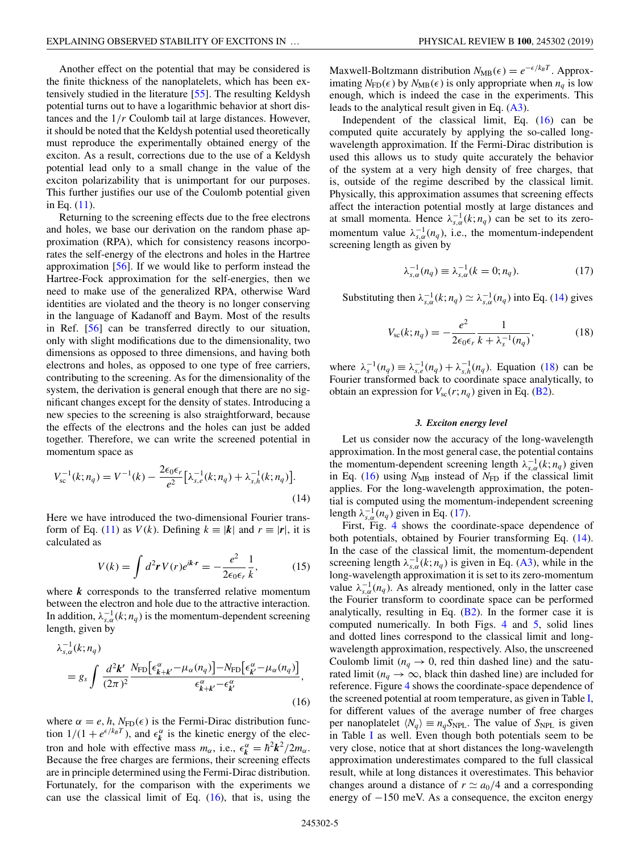<span id="page-4-0"></span>Another effect on the potential that may be considered is the finite thickness of the nanoplatelets, which has been extensively studied in the literature [\[55\]](#page-13-0). The resulting Keldysh potential turns out to have a logarithmic behavior at short distances and the 1/*r* Coulomb tail at large distances. However, it should be noted that the Keldysh potential used theoretically must reproduce the experimentally obtained energy of the exciton. As a result, corrections due to the use of a Keldysh potential lead only to a small change in the value of the exciton polarizability that is unimportant for our purposes. This further justifies our use of the Coulomb potential given in Eq. [\(11\)](#page-3-0).

Returning to the screening effects due to the free electrons and holes, we base our derivation on the random phase approximation (RPA), which for consistency reasons incorporates the self-energy of the electrons and holes in the Hartree approximation [\[56\]](#page-13-0). If we would like to perform instead the Hartree-Fock approximation for the self-energies, then we need to make use of the generalized RPA, otherwise Ward identities are violated and the theory is no longer conserving in the language of Kadanoff and Baym. Most of the results in Ref. [\[56\]](#page-13-0) can be transferred directly to our situation, only with slight modifications due to the dimensionality, two dimensions as opposed to three dimensions, and having both electrons and holes, as opposed to one type of free carriers, contributing to the screening. As for the dimensionality of the system, the derivation is general enough that there are no significant changes except for the density of states. Introducing a new species to the screening is also straightforward, because the effects of the electrons and the holes can just be added together. Therefore, we can write the screened potential in momentum space as

$$
V_{\rm sc}^{-1}(k; n_q) = V^{-1}(k) - \frac{2\epsilon_0 \epsilon_r}{e^2} \left[ \lambda_{s,e}^{-1}(k; n_q) + \lambda_{s,h}^{-1}(k; n_q) \right].
$$
\n(14)

Here we have introduced the two-dimensional Fourier trans-form of Eq. [\(11\)](#page-3-0) as  $V(k)$ . Defining  $k \equiv |\mathbf{k}|$  and  $r \equiv |\mathbf{r}|$ , it is calculated as

$$
V(k) = \int d^2 \mathbf{r} V(r) e^{ik \cdot \mathbf{r}} = -\frac{e^2}{2\epsilon_0 \epsilon_r} \frac{1}{k},\qquad(15)
$$

where *k* corresponds to the transferred relative momentum between the electron and hole due to the attractive interaction. In addition,  $\lambda_{s,a}^{-1}(k; n_q)$  is the momentum-dependent screening length, given by

$$
\lambda_{s,\alpha}^{-1}(k; n_q) = g_s \int \frac{d^2 \mathbf{k}'}{(2\pi)^2} \frac{N_{\text{FD}}[\epsilon_{k+k'}^\alpha - \mu_\alpha(n_q)] - N_{\text{FD}}[\epsilon_{k'}^\alpha - \mu_\alpha(n_q)]}{\epsilon_{k+k'}^\alpha - \epsilon_{k'}^\alpha},
$$
\n(16)

where  $\alpha = e, h, N_{FD}(\epsilon)$  is the Fermi-Dirac distribution function  $1/(1 + e^{\epsilon/k_B T})$ , and  $\epsilon_k^{\alpha}$  is the kinetic energy of the electron and hole with effective mass  $m_{\alpha}$ , i.e.,  $\epsilon_k^{\alpha} = \hbar^2 k^2 / 2m_{\alpha}$ . Because the free charges are fermions, their screening effects are in principle determined using the Fermi-Dirac distribution. Fortunately, for the comparison with the experiments we can use the classical limit of Eq.  $(16)$ , that is, using the

Maxwell-Boltzmann distribution  $N_{MB}(\epsilon) = e^{-\epsilon/k_B T}$ . Approximating  $N_{FD}(\epsilon)$  by  $N_{MB}(\epsilon)$  is only appropriate when  $n_q$  is low enough, which is indeed the case in the experiments. This leads to the analytical result given in Eq.  $(A3)$ .

Independent of the classical limit, Eq. (16) can be computed quite accurately by applying the so-called longwavelength approximation. If the Fermi-Dirac distribution is used this allows us to study quite accurately the behavior of the system at a very high density of free charges, that is, outside of the regime described by the classical limit. Physically, this approximation assumes that screening effects affect the interaction potential mostly at large distances and at small momenta. Hence  $\lambda_{s,a}^{-1}(k; n_q)$  can be set to its zeromomentum value  $\lambda_{s,\alpha}^{-1}(n_q)$ , i.e., the momentum-independent screening length as given by

$$
\lambda_{s,\alpha}^{-1}(n_q) \equiv \lambda_{s,\alpha}^{-1}(k=0; n_q). \tag{17}
$$

Substituting then  $\lambda_{s,a}^{-1}(k; n_q) \simeq \lambda_{s,a}^{-1}(n_q)$  into Eq. (14) gives

$$
V_{\rm sc}(k; n_q) = -\frac{e^2}{2\epsilon_0 \epsilon_r} \frac{1}{k + \lambda_s^{-1}(n_q)},
$$
(18)

where  $\lambda_s^{-1}(n_q) \equiv \lambda_{s,e}^{-1}(n_q) + \lambda_{s,h}^{-1}(n_q)$ . Equation (18) can be Fourier transformed back to coordinate space analytically, to obtain an expression for  $V_{\rm sc}(r; n_a)$  given in Eq. [\(B2\)](#page-11-0).

### *3. Exciton energy level*

Let us consider now the accuracy of the long-wavelength approximation. In the most general case, the potential contains the momentum-dependent screening length  $\lambda_{s,\alpha}^{-1}(k; n_q)$  given in Eq. (16) using  $N_{MB}$  instead of  $N_{FD}$  if the classical limit applies. For the long-wavelength approximation, the potential is computed using the momentum-independent screening length  $\lambda_{s,a}^{-1}(n_q)$  given in Eq. (17).

First, Fig. [4](#page-5-0) shows the coordinate-space dependence of both potentials, obtained by Fourier transforming Eq. (14). In the case of the classical limit, the momentum-dependent screening length  $\lambda_{s,\alpha}^{-1}(k; n_q)$  is given in Eq. [\(A3\)](#page-10-0), while in the long-wavelength approximation it is set to its zero-momentum value  $\lambda_{s,\alpha}^{-1}(n_q)$ . As already mentioned, only in the latter case the Fourier transform to coordinate space can be performed analytically, resulting in Eq.  $(B2)$ . In the former case it is computed numerically. In both Figs. [4](#page-5-0) and [5,](#page-5-0) solid lines and dotted lines correspond to the classical limit and longwavelength approximation, respectively. Also, the unscreened Coulomb limit ( $n_q \rightarrow 0$ , red thin dashed line) and the saturated limit ( $n_q \rightarrow \infty$ , black thin dashed line) are included for reference. Figure [4](#page-5-0) shows the coordinate-space dependence of the screened potential at room temperature, as given in Table [I,](#page-1-0) for different values of the average number of free charges per nanoplatelet  $\langle N_q \rangle \equiv n_q S_{\text{NPL}}$ . The value of  $S_{\text{NPL}}$  is given in Table [I](#page-1-0) as well. Even though both potentials seem to be very close, notice that at short distances the long-wavelength approximation underestimates compared to the full classical result, while at long distances it overestimates. This behavior changes around a distance of  $r \simeq a_0/4$  and a corresponding energy of −150 meV. As a consequence, the exciton energy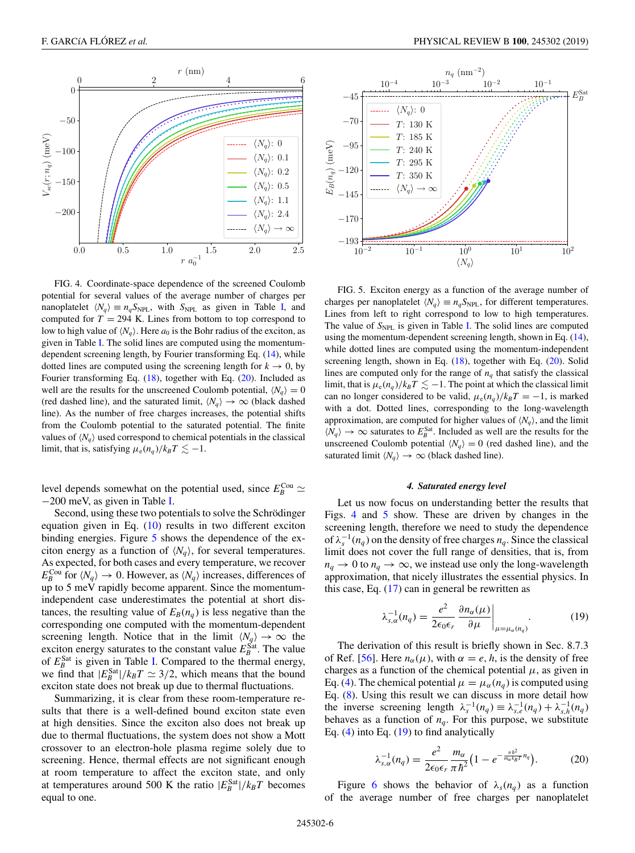<span id="page-5-0"></span>

FIG. 4. Coordinate-space dependence of the screened Coulomb potential for several values of the average number of charges per nanoplatelet  $\langle N_q \rangle \equiv n_q S_{\text{NPL}}$ , with  $S_{\text{NPL}}$  as given in Table [I,](#page-1-0) and computed for  $T = 294$  K. Lines from bottom to top correspond to low to high value of  $\langle N_q \rangle$ . Here  $a_0$  is the Bohr radius of the exciton, as given in Table [I.](#page-1-0) The solid lines are computed using the momentumdependent screening length, by Fourier transforming Eq. [\(14\)](#page-4-0), while dotted lines are computed using the screening length for  $k \to 0$ , by Fourier transforming Eq. [\(18\)](#page-4-0), together with Eq. (20). Included as well are the results for the unscreened Coulomb potential,  $\langle N_q \rangle = 0$ (red dashed line), and the saturated limit,  $\langle N_q \rangle \to \infty$  (black dashed line). As the number of free charges increases, the potential shifts from the Coulomb potential to the saturated potential. The finite values of  $\langle N_q \rangle$  used correspond to chemical potentials in the classical limit, that is, satisfying  $\mu_e(n_q)/k_BT \lesssim -1$ .

level depends somewhat on the potential used, since  $E_B^{\text{Cou}} \simeq$ −200 meV, as given in Table [I.](#page-1-0)

Second, using these two potentials to solve the Schrödinger equation given in Eq. [\(10\)](#page-3-0) results in two different exciton binding energies. Figure 5 shows the dependence of the exciton energy as a function of  $\langle N_q \rangle$ , for several temperatures. As expected, for both cases and every temperature, we recover  $E_B^{\text{Cou}}$  for  $\langle N_q \rangle \to 0$ . However, as  $\langle N_q \rangle$  increases, differences of up to 5 meV rapidly become apparent. Since the momentumindependent case underestimates the potential at short distances, the resulting value of  $E_B(n_q)$  is less negative than the corresponding one computed with the momentum-dependent screening length. Notice that in the limit  $\langle N_q \rangle \to \infty$  the exciton energy saturates to the constant value  $E_B^{\text{Sat}}$ . The value of  $E_B^{\text{Sat}}$  is given in Table [I.](#page-1-0) Compared to the thermal energy, we find that  $|E_B^{\text{Sat}}|/k_B T \simeq 3/2$ , which means that the bound exciton state does not break up due to thermal fluctuations.

Summarizing, it is clear from these room-temperature results that there is a well-defined bound exciton state even at high densities. Since the exciton also does not break up due to thermal fluctuations, the system does not show a Mott crossover to an electron-hole plasma regime solely due to screening. Hence, thermal effects are not significant enough at room temperature to affect the exciton state, and only at temperatures around 500 K the ratio  $|E_B^{\text{Sat}}|/k_B T$  becomes equal to one.



FIG. 5. Exciton energy as a function of the average number of charges per nanoplatelet  $\langle N_q \rangle \equiv n_q S_{\text{NPL}}$ , for different temperatures. Lines from left to right correspond to low to high temperatures. The value of  $S_{\text{NPL}}$  is given in Table [I.](#page-1-0) The solid lines are computed using the momentum-dependent screening length, shown in Eq. [\(14\)](#page-4-0), while dotted lines are computed using the momentum-independent screening length, shown in Eq. [\(18\)](#page-4-0), together with Eq. (20). Solid lines are computed only for the range of  $n_q$  that satisfy the classical limit, that is  $\mu_e(n_q)/k_B T \lesssim -1$ . The point at which the classical limit can no longer considered to be valid,  $\mu_e(n_q)/k_BT = -1$ , is marked with a dot. Dotted lines, corresponding to the long-wavelength approximation, are computed for higher values of  $\langle N_q \rangle$ , and the limit  $\langle N_q \rangle \rightarrow \infty$  saturates to  $E_B^{\text{Sat}}$ . Included as well are the results for the unscreened Coulomb potential  $\langle N_q \rangle = 0$  (red dashed line), and the saturated limit  $\langle N_q \rangle \rightarrow \infty$  (black dashed line).

#### *4. Saturated energy level*

Let us now focus on understanding better the results that Figs. 4 and 5 show. These are driven by changes in the screening length, therefore we need to study the dependence of  $\lambda_s^{-1}(n_q)$  on the density of free charges  $n_q$ . Since the classical limit does not cover the full range of densities, that is, from  $n_q \to 0$  to  $n_q \to \infty$ , we instead use only the long-wavelength approximation, that nicely illustrates the essential physics. In this case, Eq. [\(17\)](#page-4-0) can in general be rewritten as

$$
\lambda_{s,\alpha}^{-1}(n_q) = \frac{e^2}{2\epsilon_0 \epsilon_r} \frac{\partial n_\alpha(\mu)}{\partial \mu}\bigg|_{\mu = \mu_\alpha(n_q)}.
$$
\n(19)

The derivation of this result is briefly shown in Sec. 8.7.3 of Ref. [\[56\]](#page-13-0). Here  $n_{\alpha}(\mu)$ , with  $\alpha = e, h$ , is the density of free charges as a function of the chemical potential  $\mu$ , as given in Eq. [\(4\)](#page-3-0). The chemical potential  $\mu = \mu_{\alpha}(n_q)$  is computed using Eq. [\(8\)](#page-3-0). Using this result we can discuss in more detail how the inverse screening length  $\lambda_s^{-1}(n_q) \equiv \lambda_{s,e}^{-1}(n_q) + \lambda_{s,h}^{-1}(n_q)$ behaves as a function of  $n_q$ . For this purpose, we substitute Eq.  $(4)$  into Eq.  $(19)$  to find analytically

$$
\lambda_{s,\alpha}^{-1}(n_q) = \frac{e^2}{2\epsilon_0\epsilon_r} \frac{m_\alpha}{\pi\hbar^2} \left(1 - e^{-\frac{\pi\hbar^2}{m_\alpha k_B T} n_q}\right). \tag{20}
$$

Figure [6](#page-6-0) shows the behavior of  $\lambda_s(n_q)$  as a function of the average number of free charges per nanoplatelet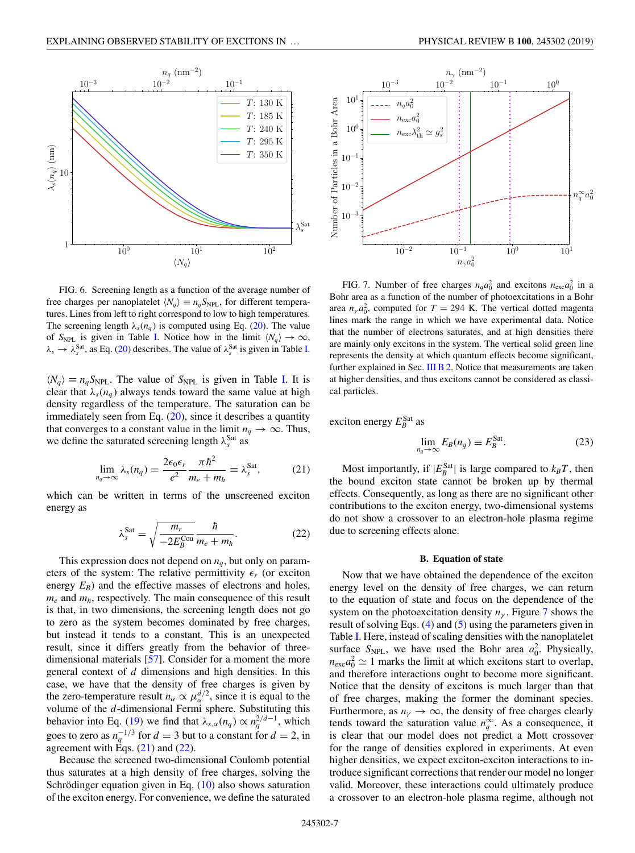<span id="page-6-0"></span>

FIG. 6. Screening length as a function of the average number of free charges per nanoplatelet  $\langle N_q \rangle \equiv n_q S_{\text{NPL}}$ , for different temperatures. Lines from left to right correspond to low to high temperatures. The screening length  $\lambda_s(n_q)$  is computed using Eq. [\(20\)](#page-5-0). The value of  $S_{NPL}$  is given in Table [I.](#page-1-0) Notice how in the limit  $\langle N_q \rangle \to \infty$ ,  $\lambda_s \to \lambda_s^{\text{Sat}}$ , as Eq. [\(20\)](#page-5-0) describes. The value of  $\lambda_s^{\text{Sat}}$  is given in Table [I.](#page-1-0)

 $\langle N_q \rangle \equiv n_q S_{\text{NPL}}$ . The value of *S*<sub>NPL</sub> is given in Table [I.](#page-1-0) It is clear that  $\lambda_s(n_a)$  always tends toward the same value at high density regardless of the temperature. The saturation can be immediately seen from Eq.  $(20)$ , since it describes a quantity that converges to a constant value in the limit  $n_q \to \infty$ . Thus, we define the saturated screening length  $\lambda_s^{\text{Sat}}$  as

$$
\lim_{n_q \to \infty} \lambda_s(n_q) = \frac{2\epsilon_0 \epsilon_r}{e^2} \frac{\pi \hbar^2}{m_e + m_h} \equiv \lambda_s^{\text{Sat}},\tag{21}
$$

which can be written in terms of the unscreened exciton energy as

$$
\lambda_s^{\text{Sat}} = \sqrt{\frac{m_r}{-2E_B^{\text{Cou}}}} \frac{\hbar}{m_e + m_h}.
$$
 (22)

This expression does not depend on  $n_q$ , but only on parameters of the system: The relative permittivity  $\epsilon_r$  (or exciton energy  $E_B$ ) and the effective masses of electrons and holes, *me* and *mh*, respectively. The main consequence of this result is that, in two dimensions, the screening length does not go to zero as the system becomes dominated by free charges, but instead it tends to a constant. This is an unexpected result, since it differs greatly from the behavior of threedimensional materials [\[57\]](#page-13-0). Consider for a moment the more general context of *d* dimensions and high densities. In this case, we have that the density of free charges is given by the zero-temperature result  $n_{\alpha} \propto \mu_{\alpha}^{d/2}$ , since it is equal to the volume of the *d*-dimensional Fermi sphere. Substituting this behavior into Eq. [\(19\)](#page-5-0) we find that  $\lambda_{s,\alpha}(n_q) \propto n_q^{2/d-1}$ , which goes to zero as  $n_q^{-1/3}$  for  $d = 3$  but to a constant for  $d = 2$ , in agreement with Eqs.  $(21)$  and  $(22)$ .

Because the screened two-dimensional Coulomb potential thus saturates at a high density of free charges, solving the Schrödinger equation given in Eq.  $(10)$  also shows saturation of the exciton energy. For convenience, we define the saturated



FIG. 7. Number of free charges  $n_q a_0^2$  and excitons  $n_{\text{exc}} a_0^2$  in a Bohr area as a function of the number of photoexcitations in a Bohr area  $n_{\gamma} a_0^2$ , computed for  $T = 294$  K. The vertical dotted magenta lines mark the range in which we have experimental data. Notice that the number of electrons saturates, and at high densities there are mainly only excitons in the system. The vertical solid green line represents the density at which quantum effects become significant, further explained in Sec. [III B 2.](#page-7-0) Notice that measurements are taken at higher densities, and thus excitons cannot be considered as classical particles.

exciton energy  $E_B^{\text{Sat}}$  as

$$
\lim_{n_q \to \infty} E_B(n_q) \equiv E_B^{\text{Sat}}.\tag{23}
$$

Most importantly, if  $|E_B^{\text{Sat}}|$  is large compared to  $k_B T$ , then the bound exciton state cannot be broken up by thermal effects. Consequently, as long as there are no significant other contributions to the exciton energy, two-dimensional systems do not show a crossover to an electron-hole plasma regime due to screening effects alone.

#### **B. Equation of state**

Now that we have obtained the dependence of the exciton energy level on the density of free charges, we can return to the equation of state and focus on the dependence of the system on the photoexcitation density  $n<sub>\gamma</sub>$ . Figure 7 shows the result of solving Eqs. [\(4\)](#page-3-0) and [\(5\)](#page-3-0) using the parameters given in Table [I.](#page-1-0) Here, instead of scaling densities with the nanoplatelet surface  $S_{\text{NPL}}$ , we have used the Bohr area  $a_0^2$ . Physically,  $n_{\text{exc}} a_0^2 \simeq 1$  marks the limit at which excitons start to overlap, and therefore interactions ought to become more significant. Notice that the density of excitons is much larger than that of free charges, making the former the dominant species. Furthermore, as  $n<sub>\gamma</sub> \rightarrow \infty$ , the density of free charges clearly tends toward the saturation value  $n_q^{\infty}$ . As a consequence, it is clear that our model does not predict a Mott crossover for the range of densities explored in experiments. At even higher densities, we expect exciton-exciton interactions to introduce significant corrections that render our model no longer valid. Moreover, these interactions could ultimately produce a crossover to an electron-hole plasma regime, although not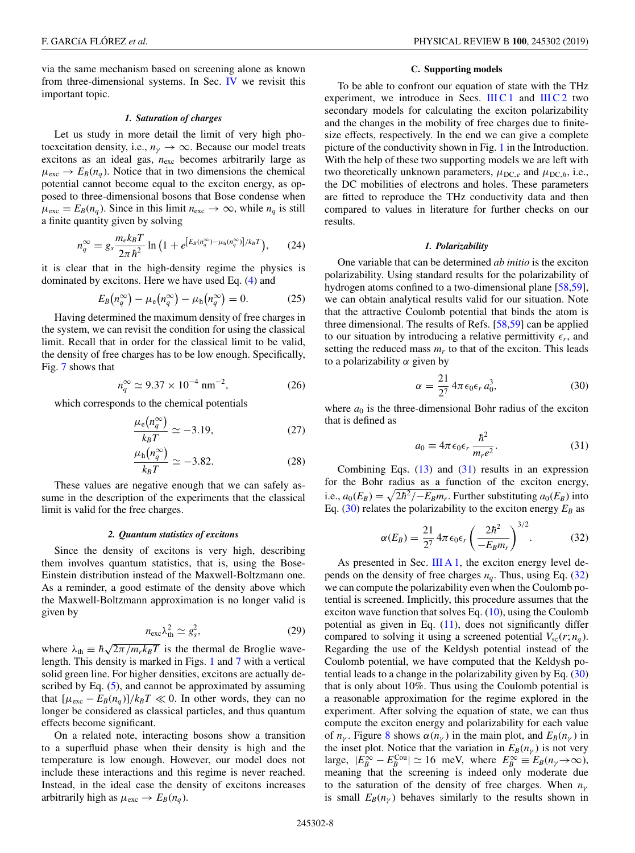<span id="page-7-0"></span>via the same mechanism based on screening alone as known from three-dimensional systems. In Sec. [IV](#page-9-0) we revisit this important topic.

### *1. Saturation of charges*

Let us study in more detail the limit of very high photoexcitation density, i.e.,  $n_{\gamma} \rightarrow \infty$ . Because our model treats excitons as an ideal gas, *n*exc becomes arbitrarily large as  $\mu_{\text{exc}} \rightarrow E_B(n_q)$ . Notice that in two dimensions the chemical potential cannot become equal to the exciton energy, as opposed to three-dimensional bosons that Bose condense when  $\mu_{\text{exc}} = E_B(n_q)$ . Since in this limit  $n_{\text{exc}} \to \infty$ , while  $n_q$  is still a finite quantity given by solving

$$
n_q^{\infty} = g_s \frac{m_e k_B T}{2\pi \hbar^2} \ln \left( 1 + e^{\left[ E_B(n_q^{\infty}) - \mu_h(n_q^{\infty}) \right] / k_B T} \right), \tag{24}
$$

it is clear that in the high-density regime the physics is dominated by excitons. Here we have used Eq. [\(4\)](#page-3-0) and

$$
E_B(n_q^{\infty}) - \mu_e(n_q^{\infty}) - \mu_h(n_q^{\infty}) = 0.
$$
 (25)

Having determined the maximum density of free charges in the system, we can revisit the condition for using the classical limit. Recall that in order for the classical limit to be valid, the density of free charges has to be low enough. Specifically, Fig. [7](#page-6-0) shows that

$$
n_q^{\infty} \simeq 9.37 \times 10^{-4} \text{ nm}^{-2}, \tag{26}
$$

which corresponds to the chemical potentials

$$
\frac{\mu_{\rm e}(n_q^{\infty})}{k_B T} \simeq -3.19,\tag{27}
$$

$$
\frac{\mu_{\rm h}(n_q^{\infty})}{k_B T} \simeq -3.82. \tag{28}
$$

These values are negative enough that we can safely assume in the description of the experiments that the classical limit is valid for the free charges.

### *2. Quantum statistics of excitons*

Since the density of excitons is very high, describing them involves quantum statistics, that is, using the Bose-Einstein distribution instead of the Maxwell-Boltzmann one. As a reminder, a good estimate of the density above which the Maxwell-Boltzmann approximation is no longer valid is given by

$$
n_{\rm exc} \lambda_{\rm th}^2 \simeq g_s^2, \tag{29}
$$

where  $\lambda_{\text{th}} \equiv \hbar \sqrt{2\pi / m_r k_B T}$  is the thermal de Broglie wavelength. This density is marked in Figs. [1](#page-1-0) and [7](#page-6-0) with a vertical solid green line. For higher densities, excitons are actually described by Eq.  $(5)$ , and cannot be approximated by assuming that  $[\mu_{\text{exc}} - E_B(n_q)]/k_B T \ll 0$ . In other words, they can no longer be considered as classical particles, and thus quantum effects become significant.

On a related note, interacting bosons show a transition to a superfluid phase when their density is high and the temperature is low enough. However, our model does not include these interactions and this regime is never reached. Instead, in the ideal case the density of excitons increases arbitrarily high as  $\mu_{\text{exc}} \rightarrow E_B(n_q)$ .

#### **C. Supporting models**

To be able to confront our equation of state with the THz experiment, we introduce in Secs. III C 1 and [III C 2](#page-8-0) two secondary models for calculating the exciton polarizability and the changes in the mobility of free charges due to finitesize effects, respectively. In the end we can give a complete picture of the conductivity shown in Fig. [1](#page-1-0) in the Introduction. With the help of these two supporting models we are left with two theoretically unknown parameters,  $\mu_{DC,e}$  and  $\mu_{DC,h}$ , i.e., the DC mobilities of electrons and holes. These parameters are fitted to reproduce the THz conductivity data and then compared to values in literature for further checks on our results.

### *1. Polarizability*

One variable that can be determined *ab initio* is the exciton polarizability. Using standard results for the polarizability of hydrogen atoms confined to a two-dimensional plane [\[58,59\]](#page-13-0), we can obtain analytical results valid for our situation. Note that the attractive Coulomb potential that binds the atom is three dimensional. The results of Refs. [\[58,59\]](#page-13-0) can be applied to our situation by introducing a relative permittivity  $\epsilon_r$ , and setting the reduced mass  $m_r$  to that of the exciton. This leads to a polarizability  $\alpha$  given by

$$
\alpha = \frac{21}{2^7} 4\pi \epsilon_0 \epsilon_r a_0^3, \qquad (30)
$$

where  $a_0$  is the three-dimensional Bohr radius of the exciton that is defined as

$$
a_0 \equiv 4\pi \epsilon_0 \epsilon_r \frac{\hbar^2}{m_r e^2}.
$$
 (31)

Combining Eqs.  $(13)$  and  $(31)$  results in an expression for the Bohr radius as a function of the exciton energy, i.e.,  $a_0(E_B) = \sqrt{2\hbar^2 - E_B m_r}$ . Further substituting  $a_0(E_B)$  into Eq. (30) relates the polarizability to the exciton energy  $E_B$  as

$$
\alpha(E_B) = \frac{21}{2^7} 4\pi \epsilon_0 \epsilon_r \left(\frac{2\hbar^2}{-E_B m_r}\right)^{3/2}.
$$
 (32)

As presented in Sec.  $III A 1$ , the exciton energy level depends on the density of free charges  $n_q$ . Thus, using Eq. (32) we can compute the polarizability even when the Coulomb potential is screened. Implicitly, this procedure assumes that the exciton wave function that solves Eq.  $(10)$ , using the Coulomb potential as given in Eq.  $(11)$ , does not significantly differ compared to solving it using a screened potential  $V_{\rm sc}(r; n_q)$ . Regarding the use of the Keldysh potential instead of the Coulomb potential, we have computed that the Keldysh potential leads to a change in the polarizability given by Eq. (30) that is only about 10%. Thus using the Coulomb potential is a reasonable approximation for the regime explored in the experiment. After solving the equation of state, we can thus compute the exciton energy and polarizability for each value of  $n_\nu$ . Figure [8](#page-8-0) shows  $\alpha(n_\nu)$  in the main plot, and  $E_B(n_\nu)$  in the inset plot. Notice that the variation in  $E_B(n_\gamma)$  is not very large,  $|E_B^{\infty} - E_B^{\text{Cou}}| \simeq 16 \text{ meV}$ , where  $E_B^{\infty} \equiv E_B(n_\gamma \to \infty)$ , meaning that the screening is indeed only moderate due to the saturation of the density of free charges. When *n*<sup>γ</sup> is small  $E_B(n_\gamma)$  behaves similarly to the results shown in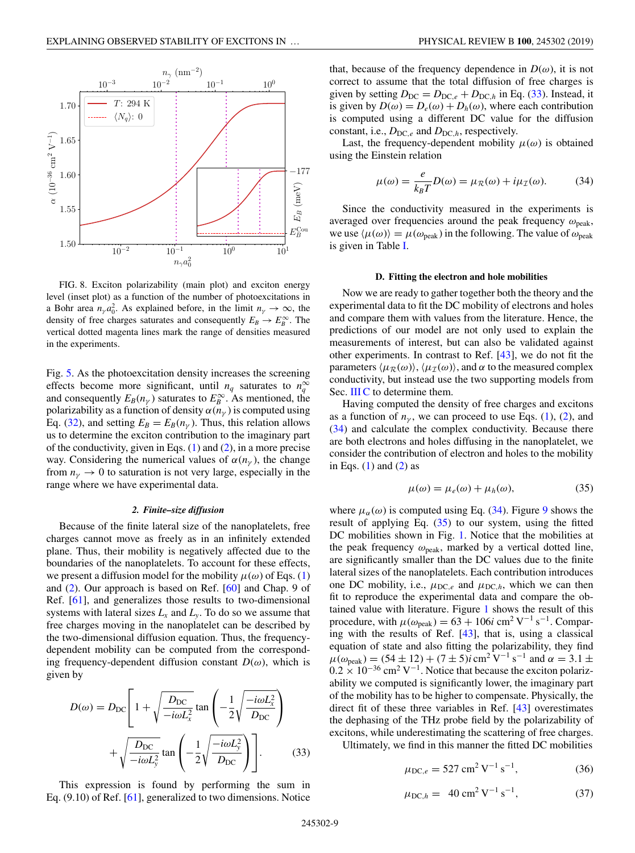<span id="page-8-0"></span>

FIG. 8. Exciton polarizability (main plot) and exciton energy level (inset plot) as a function of the number of photoexcitations in a Bohr area  $n_\gamma a_0^2$ . As explained before, in the limit  $n_\gamma \to \infty$ , the density of free charges saturates and consequently  $E_B \to E_B^{\infty}$ . The vertical dotted magenta lines mark the range of densities measured in the experiments.

Fig. [5.](#page-5-0) As the photoexcitation density increases the screening effects become more significant, until  $n_q$  saturates to  $n_q^{\infty}$ and consequently  $E_B(n_\gamma)$  saturates to  $E_B^\infty$ . As mentioned, the polarizability as a function of density  $\alpha(n_\gamma)$  is computed using Eq. [\(32\)](#page-7-0), and setting  $E_B = E_B(n_v)$ . Thus, this relation allows us to determine the exciton contribution to the imaginary part of the conductivity, given in Eqs. [\(1\)](#page-2-0) and [\(2\)](#page-2-0), in a more precise way. Considering the numerical values of  $\alpha(n_{\nu})$ , the change from  $n<sub>\gamma</sub> \rightarrow 0$  to saturation is not very large, especially in the range where we have experimental data.

### *2. Finite–size diffusion*

Because of the finite lateral size of the nanoplatelets, free charges cannot move as freely as in an infinitely extended plane. Thus, their mobility is negatively affected due to the boundaries of the nanoplatelets. To account for these effects, we present a diffusion model for the mobility  $\mu(\omega)$  of Eqs. [\(1\)](#page-2-0) and [\(2\)](#page-2-0). Our approach is based on Ref. [\[60\]](#page-13-0) and Chap. 9 of Ref. [\[61\]](#page-13-0), and generalizes those results to two-dimensional systems with lateral sizes  $L_x$  and  $L_y$ . To do so we assume that free charges moving in the nanoplatelet can be described by the two-dimensional diffusion equation. Thus, the frequencydependent mobility can be computed from the corresponding frequency-dependent diffusion constant  $D(\omega)$ , which is given by

$$
D(\omega) = D_{\rm DC} \left[ 1 + \sqrt{\frac{D_{\rm DC}}{-i\omega L_x^2}} \tan \left( -\frac{1}{2} \sqrt{\frac{-i\omega L_x^2}{D_{\rm DC}}} \right) + \sqrt{\frac{D_{\rm DC}}{-i\omega L_y^2}} \tan \left( -\frac{1}{2} \sqrt{\frac{-i\omega L_y^2}{D_{\rm DC}}} \right) \right].
$$
 (33)

This expression is found by performing the sum in Eq. (9.10) of Ref. [\[61\]](#page-13-0), generalized to two dimensions. Notice

that, because of the frequency dependence in  $D(\omega)$ , it is not correct to assume that the total diffusion of free charges is given by setting  $D_{\text{DC}} = D_{\text{DC},e} + D_{\text{DC},h}$  in Eq. (33). Instead, it is given by  $D(\omega) = D_e(\omega) + D_h(\omega)$ , where each contribution is computed using a different DC value for the diffusion constant, i.e.,  $D_{\text{DC},e}$  and  $D_{\text{DC},h}$ , respectively.

Last, the frequency-dependent mobility  $\mu(\omega)$  is obtained using the Einstein relation

$$
\mu(\omega) = \frac{e}{k_B T} D(\omega) = \mu_R(\omega) + i\mu_T(\omega).
$$
 (34)

Since the conductivity measured in the experiments is averaged over frequencies around the peak frequency  $\omega_{\text{peak}}$ , we use  $\langle \mu(\omega) \rangle = \mu(\omega_{\text{peak}})$  in the following. The value of  $\omega_{\text{peak}}$ is given in Table [I.](#page-1-0)

#### **D. Fitting the electron and hole mobilities**

Now we are ready to gather together both the theory and the experimental data to fit the DC mobility of electrons and holes and compare them with values from the literature. Hence, the predictions of our model are not only used to explain the measurements of interest, but can also be validated against other experiments. In contrast to Ref. [\[43\]](#page-12-0), we do not fit the parameters  $\langle \mu_{\mathcal{R}}(\omega) \rangle$ ,  $\langle \mu_{\mathcal{I}}(\omega) \rangle$ , and  $\alpha$  to the measured complex conductivity, but instead use the two supporting models from Sec. [III C](#page-7-0) to determine them.

Having computed the density of free charges and excitons as a function of  $n<sub>\gamma</sub>$ , we can proceed to use Eqs. [\(1\)](#page-2-0), [\(2\)](#page-2-0), and (34) and calculate the complex conductivity. Because there are both electrons and holes diffusing in the nanoplatelet, we consider the contribution of electron and holes to the mobility in Eqs.  $(1)$  and  $(2)$  as

$$
\mu(\omega) = \mu_e(\omega) + \mu_h(\omega), \tag{35}
$$

where  $\mu_{\alpha}(\omega)$  is computed using Eq. (34). Figure [9](#page-9-0) shows the result of applying Eq.  $(35)$  to our system, using the fitted DC mobilities shown in Fig. [1.](#page-1-0) Notice that the mobilities at the peak frequency  $\omega_{peak}$ , marked by a vertical dotted line, are significantly smaller than the DC values due to the finite lateral sizes of the nanoplatelets. Each contribution introduces one DC mobility, i.e.,  $\mu_{DC,e}$  and  $\mu_{DC,h}$ , which we can then fit to reproduce the experimental data and compare the obtained value with literature. Figure [1](#page-1-0) shows the result of this procedure, with  $\mu(\omega_{\text{peak}}) = 63 + 106i \text{ cm}^2 \text{ V}^{-1} \text{ s}^{-1}$ . Comparing with the results of Ref. [\[43\]](#page-12-0), that is, using a classical equation of state and also fitting the polarizability, they find  $\mu(\omega_{\text{peak}}) = (54 \pm 12) + (7 \pm 5)i \text{ cm}^2 \text{ V}^{-1} \text{ s}^{-1} \text{ and } \alpha = 3.1 \pm$  $0.2 \times 10^{-36}$  cm<sup>2</sup> V<sup>-1</sup>. Notice that because the exciton polarizability we computed is significantly lower, the imaginary part of the mobility has to be higher to compensate. Physically, the direct fit of these three variables in Ref. [\[43\]](#page-12-0) overestimates the dephasing of the THz probe field by the polarizability of excitons, while underestimating the scattering of free charges.

Ultimately, we find in this manner the fitted DC mobilities

$$
\mu_{\text{DC},e} = 527 \text{ cm}^2 \text{ V}^{-1} \text{ s}^{-1},\tag{36}
$$

$$
\mu_{\text{DC},h} = 40 \text{ cm}^2 \text{ V}^{-1} \text{ s}^{-1}, \tag{37}
$$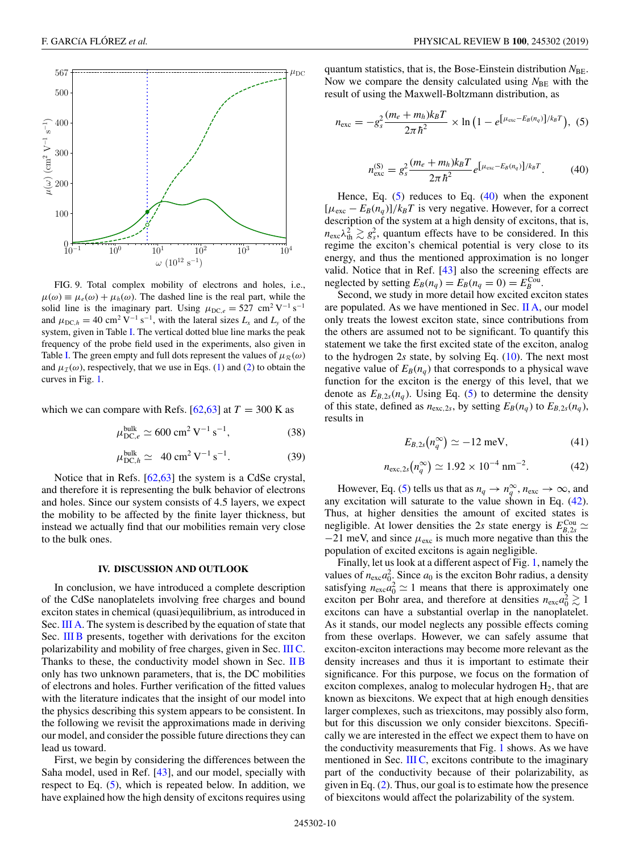<span id="page-9-0"></span>

FIG. 9. Total complex mobility of electrons and holes, i.e.,  $\mu(\omega) \equiv \mu_e(\omega) + \mu_h(\omega)$ . The dashed line is the real part, while the solid line is the imaginary part. Using  $\mu_{DC,e} = 527$  cm<sup>2</sup> V<sup>-1</sup> s<sup>-1</sup> and  $\mu_{DC,h} = 40 \text{ cm}^2 \text{ V}^{-1} \text{ s}^{-1}$ , with the lateral sizes  $L_x$  and  $L_y$  of the system, given in Table [I.](#page-1-0) The vertical dotted blue line marks the peak frequency of the probe field used in the experiments, also given in Table [I.](#page-1-0) The green empty and full dots represent the values of  $\mu_R(\omega)$ and  $\mu_{\mathcal{I}}(\omega)$ , respectively, that we use in Eqs. [\(1\)](#page-2-0) and [\(2\)](#page-2-0) to obtain the curves in Fig. [1.](#page-1-0)

which we can compare with Refs.  $[62,63]$  at  $T = 300$  K as

$$
\mu_{\text{DC},e}^{\text{bulk}} \simeq 600 \text{ cm}^2 \text{ V}^{-1} \text{ s}^{-1},\tag{38}
$$

$$
\mu_{\text{DC},h}^{\text{bulk}} \simeq 40 \text{ cm}^2 \text{ V}^{-1} \text{ s}^{-1}. \tag{39}
$$

Notice that in Refs. [\[62,63\]](#page-13-0) the system is a CdSe crystal, and therefore it is representing the bulk behavior of electrons and holes. Since our system consists of 4.5 layers, we expect the mobility to be affected by the finite layer thickness, but instead we actually find that our mobilities remain very close to the bulk ones.

# **IV. DISCUSSION AND OUTLOOK**

In conclusion, we have introduced a complete description of the CdSe nanoplatelets involving free charges and bound exciton states in chemical (quasi)equilibrium, as introduced in Sec. [III A.](#page-2-0) The system is described by the equation of state that Sec. [III B](#page-6-0) presents, together with derivations for the exciton polarizability and mobility of free charges, given in Sec. [III C.](#page-7-0) Thanks to these, the conductivity model shown in Sec. [II B](#page-2-0) only has two unknown parameters, that is, the DC mobilities of electrons and holes. Further verification of the fitted values with the literature indicates that the insight of our model into the physics describing this system appears to be consistent. In the following we revisit the approximations made in deriving our model, and consider the possible future directions they can lead us toward.

First, we begin by considering the differences between the Saha model, used in Ref. [\[43\]](#page-12-0), and our model, specially with respect to Eq. [\(5\)](#page-3-0), which is repeated below. In addition, we have explained how the high density of excitons requires using quantum statistics, that is, the Bose-Einstein distribution  $N_{BE}$ . Now we compare the density calculated using  $N_{BE}$  with the result of using the Maxwell-Boltzmann distribution, as

$$
n_{\rm exc} = -g_s^2 \frac{(m_e + m_h)k_B T}{2\pi\hbar^2} \times \ln\left(1 - e^{\left[\mu_{\rm exc} - E_B(n_q)\right]/k_B T}\right), (5)
$$

$$
n_{\rm exc}^{(\rm S)} = g_s^2 \frac{(m_e + m_h)k_B T}{2\pi\hbar^2} e^{\left[\mu_{\rm exc} - E_B(n_q)\right]/k_B T}.\tag{40}
$$

Hence, Eq.  $(5)$  reduces to Eq.  $(40)$  when the exponent  $[\mu_{\text{exc}} - E_B(n_a)]/k_B T$  is very negative. However, for a correct description of the system at a high density of excitons, that is,  $n_{\text{exc}}\lambda_{\text{th}}^2 \gtrsim g_s^2$ , quantum effects have to be considered. In this regime the exciton's chemical potential is very close to its energy, and thus the mentioned approximation is no longer valid. Notice that in Ref. [\[43\]](#page-12-0) also the screening effects are neglected by setting  $E_B(n_q) = E_B(n_q = 0) = E_B^{\text{Cou}}$ .

Second, we study in more detail how excited exciton states are populated. As we have mentioned in Sec. [II A,](#page-1-0) our model only treats the lowest exciton state, since contributions from the others are assumed not to be significant. To quantify this statement we take the first excited state of the exciton, analog to the hydrogen 2*s* state, by solving Eq. [\(10\)](#page-3-0). The next most negative value of  $E_B(n_q)$  that corresponds to a physical wave function for the exciton is the energy of this level, that we denote as  $E_{B,2s}(n_q)$ . Using Eq. [\(5\)](#page-3-0) to determine the density of this state, defined as  $n_{\text{exc},2s}$ , by setting  $E_B(n_q)$  to  $E_{B,2s}(n_q)$ , results in

$$
E_{B,2s}(n_q^{\infty}) \simeq -12 \text{ meV},\tag{41}
$$

$$
n_{\text{exc},2s}(n_q^{\infty}) \simeq 1.92 \times 10^{-4} \text{ nm}^{-2}.
$$
 (42)

However, Eq. [\(5\)](#page-3-0) tells us that as  $n_q \to n_q^{\infty}$ ,  $n_{\text{exc}} \to \infty$ , and any excitation will saturate to the value shown in Eq. (42). Thus, at higher densities the amount of excited states is negligible. At lower densities the 2*s* state energy is  $E_{B,2s}^{\text{Cou}} \simeq$  $-21$  meV, and since  $\mu_{\text{exc}}$  is much more negative than this the population of excited excitons is again negligible.

Finally, let us look at a different aspect of Fig. [1,](#page-1-0) namely the values of  $n_{\text{exc}} a_0^2$ . Since  $a_0$  is the exciton Bohr radius, a density satisfying  $n_{\text{exc}} a_0^2 \simeq 1$  means that there is approximately one exciton per Bohr area, and therefore at densities  $n_{\text{exc}}a_0^2 \gtrsim 1$ excitons can have a substantial overlap in the nanoplatelet. As it stands, our model neglects any possible effects coming from these overlaps. However, we can safely assume that exciton-exciton interactions may become more relevant as the density increases and thus it is important to estimate their significance. For this purpose, we focus on the formation of exciton complexes, analog to molecular hydrogen  $H_2$ , that are known as biexcitons. We expect that at high enough densities larger complexes, such as triexcitons, may possibly also form, but for this discussion we only consider biexcitons. Specifically we are interested in the effect we expect them to have on the conductivity measurements that Fig. [1](#page-1-0) shows. As we have mentioned in Sec. [III C,](#page-7-0) excitons contribute to the imaginary part of the conductivity because of their polarizability, as given in Eq. [\(2\)](#page-2-0). Thus, our goal is to estimate how the presence of biexcitons would affect the polarizability of the system.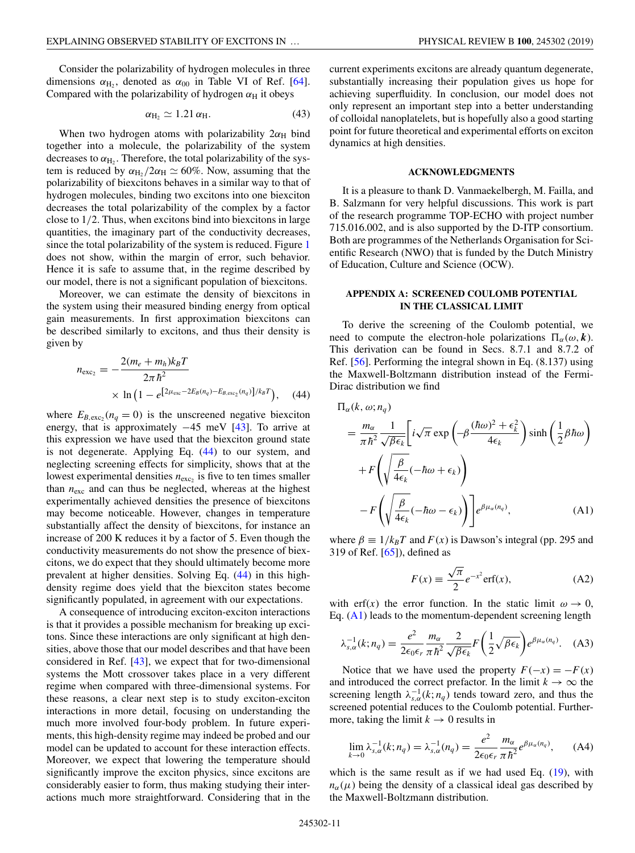<span id="page-10-0"></span>Consider the polarizability of hydrogen molecules in three dimensions  $\alpha_{\text{H}_2}$ , denoted as  $\alpha_{00}$  in Table VI of Ref. [\[64\]](#page-13-0). Compared with the polarizability of hydrogen  $\alpha_H$  it obeys

$$
\alpha_{\rm H_2} \simeq 1.21 \, \alpha_{\rm H}.\tag{43}
$$

When two hydrogen atoms with polarizability  $2\alpha_H$  bind together into a molecule, the polarizability of the system decreases to  $\alpha_{\text{H}_2}$ . Therefore, the total polarizability of the system is reduced by  $\alpha_{\text{H}_2}/2\alpha_{\text{H}} \simeq 60\%$ . Now, assuming that the polarizability of biexcitons behaves in a similar way to that of hydrogen molecules, binding two excitons into one biexciton decreases the total polarizability of the complex by a factor close to 1/2. Thus, when excitons bind into biexcitons in large quantities, the imaginary part of the conductivity decreases, since the total polarizability of the system is reduced. Figure [1](#page-1-0) does not show, within the margin of error, such behavior. Hence it is safe to assume that, in the regime described by our model, there is not a significant population of biexcitons.

Moreover, we can estimate the density of biexcitons in the system using their measured binding energy from optical gain measurements. In first approximation biexcitons can be described similarly to excitons, and thus their density is given by

$$
n_{\text{exc}_2} = -\frac{2(m_e + m_h)k_B T}{2\pi \hbar^2} \times \ln\left(1 - e^{\left[2\mu_{\text{exc}} - 2E_B(n_q) - E_{B,\text{exc}_2}(n_q)\right]/k_B T}\right), \quad (44)
$$

where  $E_{B, \text{exc}_2}(n_q = 0)$  is the unscreened negative biexciton energy, that is approximately −45 meV [\[43\]](#page-12-0). To arrive at this expression we have used that the biexciton ground state is not degenerate. Applying Eq. (44) to our system, and neglecting screening effects for simplicity, shows that at the lowest experimental densities  $n_{\text{exc}_2}$  is five to ten times smaller than  $n_{\text{exc}}$  and can thus be neglected, whereas at the highest experimentally achieved densities the presence of biexcitons may become noticeable. However, changes in temperature substantially affect the density of biexcitons, for instance an increase of 200 K reduces it by a factor of 5. Even though the conductivity measurements do not show the presence of biexcitons, we do expect that they should ultimately become more prevalent at higher densities. Solving Eq. (44) in this highdensity regime does yield that the biexciton states become significantly populated, in agreement with our expectations.

A consequence of introducing exciton-exciton interactions is that it provides a possible mechanism for breaking up excitons. Since these interactions are only significant at high densities, above those that our model describes and that have been considered in Ref. [\[43\]](#page-12-0), we expect that for two-dimensional systems the Mott crossover takes place in a very different regime when compared with three-dimensional systems. For these reasons, a clear next step is to study exciton-exciton interactions in more detail, focusing on understanding the much more involved four-body problem. In future experiments, this high-density regime may indeed be probed and our model can be updated to account for these interaction effects. Moreover, we expect that lowering the temperature should significantly improve the exciton physics, since excitons are considerably easier to form, thus making studying their interactions much more straightforward. Considering that in the

current experiments excitons are already quantum degenerate, substantially increasing their population gives us hope for achieving superfluidity. In conclusion, our model does not only represent an important step into a better understanding of colloidal nanoplatelets, but is hopefully also a good starting point for future theoretical and experimental efforts on exciton dynamics at high densities.

# **ACKNOWLEDGMENTS**

It is a pleasure to thank D. Vanmaekelbergh, M. Failla, and B. Salzmann for very helpful discussions. This work is part of the research programme TOP-ECHO with project number 715.016.002, and is also supported by the D-ITP consortium. Both are programmes of the Netherlands Organisation for Scientific Research (NWO) that is funded by the Dutch Ministry of Education, Culture and Science (OCW).

# **APPENDIX A: SCREENED COULOMB POTENTIAL IN THE CLASSICAL LIMIT**

To derive the screening of the Coulomb potential, we need to compute the electron-hole polarizations  $\Pi_{\alpha}(\omega, \mathbf{k})$ . This derivation can be found in Secs. 8.7.1 and 8.7.2 of Ref.  $[56]$ . Performing the integral shown in Eq.  $(8.137)$  using the Maxwell-Boltzmann distribution instead of the Fermi-Dirac distribution we find

$$
\Pi_{\alpha}(k, \omega; n_q)
$$
\n
$$
= \frac{m_{\alpha}}{\pi \hbar^2} \frac{1}{\sqrt{\beta \epsilon_k}} \left[ i \sqrt{\pi} \exp \left( -\beta \frac{(\hbar \omega)^2 + \epsilon_k^2}{4\epsilon_k} \right) \sinh \left( \frac{1}{2} \beta \hbar \omega \right) \right.
$$
\n
$$
+ F \left( \sqrt{\frac{\beta}{4\epsilon_k}} (-\hbar \omega + \epsilon_k) \right)
$$
\n
$$
- F \left( \sqrt{\frac{\beta}{4\epsilon_k}} (-\hbar \omega - \epsilon_k) \right) \Bigg] e^{\beta \mu_{\alpha}(n_q)}, \tag{A1}
$$

where  $\beta \equiv 1/k_B T$  and  $F(x)$  is Dawson's integral (pp. 295 and 319 of Ref. [\[65\]](#page-13-0)), defined as

$$
F(x) \equiv \frac{\sqrt{\pi}}{2} e^{-x^2} \text{erf}(x), \tag{A2}
$$

with erf(x) the error function. In the static limit  $\omega \to 0$ , Eq.  $(A1)$  leads to the momentum-dependent screening length

$$
\lambda_{s,\alpha}^{-1}(k;n_q) = \frac{e^2}{2\epsilon_0 \epsilon_r} \frac{m_\alpha}{\pi \hbar^2} \frac{2}{\sqrt{\beta \epsilon_k}} F\left(\frac{1}{2}\sqrt{\beta \epsilon_k}\right) e^{\beta \mu_\alpha(n_q)}.
$$
 (A3)

Notice that we have used the property  $F(-x) = -F(x)$ and introduced the correct prefactor. In the limit  $k \to \infty$  the screening length  $\lambda_{s,\alpha}^{-1}(k; n_q)$  tends toward zero, and thus the screened potential reduces to the Coulomb potential. Furthermore, taking the limit  $k \to 0$  results in

$$
\lim_{k \to 0} \lambda_{s,\alpha}^{-1}(k; n_q) = \lambda_{s,\alpha}^{-1}(n_q) = \frac{e^2}{2\epsilon_0 \epsilon_r} \frac{m_\alpha}{\pi \hbar^2} e^{\beta \mu_\alpha(n_q)}, \quad (A4)
$$

which is the same result as if we had used Eq.  $(19)$ , with  $n_{\alpha}(\mu)$  being the density of a classical ideal gas described by the Maxwell-Boltzmann distribution.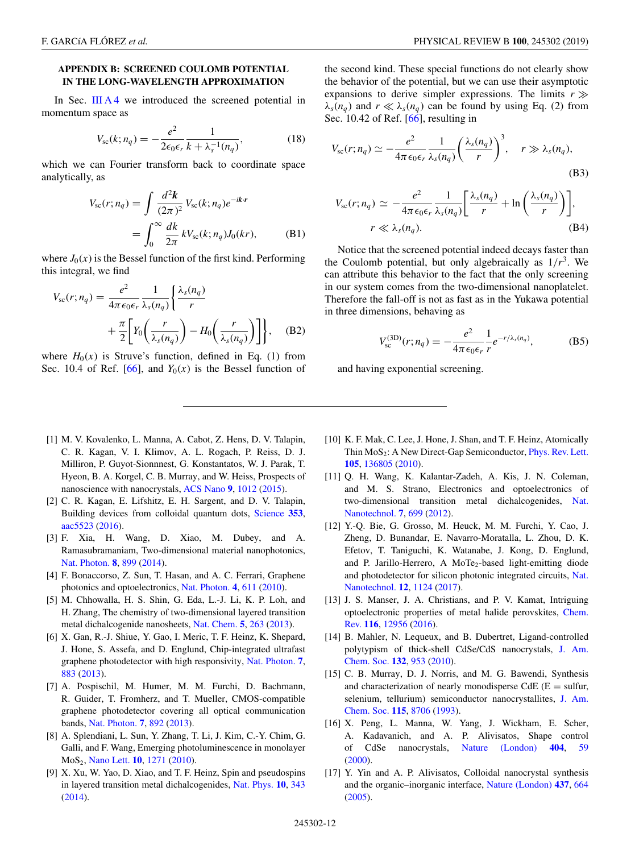# <span id="page-11-0"></span>**APPENDIX B: SCREENED COULOMB POTENTIAL IN THE LONG-WAVELENGTH APPROXIMATION**

In Sec. [III A 4](#page-5-0) we introduced the screened potential in momentum space as

$$
V_{sc}(k; n_q) = -\frac{e^2}{2\epsilon_0 \epsilon_r} \frac{1}{k + \lambda_s^{-1}(n_q)},
$$
(18)

which we can Fourier transform back to coordinate space analytically, as

$$
V_{sc}(r;n_q) = \int \frac{d^2k}{(2\pi)^2} V_{sc}(k;n_q) e^{-ikr}
$$

$$
= \int_0^\infty \frac{dk}{2\pi} k V_{sc}(k;n_q) J_0(kr), \quad (B1)
$$

where  $J_0(x)$  is the Bessel function of the first kind. Performing this integral, we find

$$
V_{sc}(r; n_q) = \frac{e^2}{4\pi\epsilon_0\epsilon_r} \frac{1}{\lambda_s(n_q)} \left\{ \frac{\lambda_s(n_q)}{r} + \frac{\pi}{2} \left[ Y_0 \left( \frac{r}{\lambda_s(n_q)} \right) - H_0 \left( \frac{r}{\lambda_s(n_q)} \right) \right] \right\}, \quad (B2)
$$

where  $H_0(x)$  is Struve's function, defined in Eq. (1) from Sec. 10.4 of Ref. [\[66\]](#page-13-0), and  $Y_0(x)$  is the Bessel function of the second kind. These special functions do not clearly show the behavior of the potential, but we can use their asymptotic expansions to derive simpler expressions. The limits  $r \gg$  $\lambda_s(n_q)$  and  $r \ll \lambda_s(n_q)$  can be found by using Eq. (2) from Sec. 10.42 of Ref. [\[66\]](#page-13-0), resulting in

$$
V_{\rm sc}(r; n_q) \simeq -\frac{e^2}{4\pi\epsilon_0\epsilon_r} \frac{1}{\lambda_s(n_q)} \left(\frac{\lambda_s(n_q)}{r}\right)^3, \quad r \gg \lambda_s(n_q),
$$
\n(B3)\n
$$
V_{\rm sc}(r; n_q) \simeq -\frac{e^2}{4\pi\epsilon_0\epsilon_r} \frac{1}{\lambda_s(n_q)} \left[\frac{\lambda_s(n_q)}{r} + \ln\left(\frac{\lambda_s(n_q)}{r}\right)\right],
$$

$$
r \ll \lambda_s(n_q). \tag{B4}
$$

Notice that the screened potential indeed decays faster than the Coulomb potential, but only algebraically as  $1/r<sup>3</sup>$ . We can attribute this behavior to the fact that the only screening in our system comes from the two-dimensional nanoplatelet. Therefore the fall-off is not as fast as in the Yukawa potential in three dimensions, behaving as

$$
V_{\rm sc}^{\rm (3D)}(r; n_q) = -\frac{e^2}{4\pi\epsilon_0\epsilon_r} \frac{1}{r} e^{-r/\lambda_s(n_q)},
$$
 (B5)

and having exponential screening.

- [1] M. V. Kovalenko, L. Manna, A. Cabot, Z. Hens, D. V. Talapin, C. R. Kagan, V. I. Klimov, A. L. Rogach, P. Reiss, D. J. Milliron, P. Guyot-Sionnnest, G. Konstantatos, W. J. Parak, T. Hyeon, B. A. Korgel, C. B. Murray, and W. Heiss, Prospects of nanoscience with nanocrystals, [ACS Nano](https://doi.org/10.1021/nn506223h) **[9](https://doi.org/10.1021/nn506223h)**, [1012](https://doi.org/10.1021/nn506223h) [\(2015\)](https://doi.org/10.1021/nn506223h).
- [2] C. R. Kagan, E. Lifshitz, E. H. Sargent, and D. V. Talapin, Building devices from colloidal quantum dots, [Science](https://doi.org/10.1126/science.aac5523) **[353](https://doi.org/10.1126/science.aac5523)**, [aac5523](https://doi.org/10.1126/science.aac5523) [\(2016\)](https://doi.org/10.1126/science.aac5523).
- [3] F. Xia, H. Wang, D. Xiao, M. Dubey, and A. Ramasubramaniam, Two-dimensional material nanophotonics, [Nat. Photon.](https://doi.org/10.1038/nphoton.2014.271) **[8](https://doi.org/10.1038/nphoton.2014.271)**, [899](https://doi.org/10.1038/nphoton.2014.271) [\(2014\)](https://doi.org/10.1038/nphoton.2014.271).
- [4] F. Bonaccorso, Z. Sun, T. Hasan, and A. C. Ferrari, Graphene photonics and optoelectronics, [Nat. Photon.](https://doi.org/10.1038/nphoton.2010.186) **[4](https://doi.org/10.1038/nphoton.2010.186)**, [611](https://doi.org/10.1038/nphoton.2010.186) [\(2010\)](https://doi.org/10.1038/nphoton.2010.186).
- [5] M. Chhowalla, H. S. Shin, G. Eda, L.-J. Li, K. P. Loh, and H. Zhang, The chemistry of two-dimensional layered transition metal dichalcogenide nanosheets, [Nat. Chem.](https://doi.org/10.1038/nchem.1589) **[5](https://doi.org/10.1038/nchem.1589)**, [263](https://doi.org/10.1038/nchem.1589) [\(2013\)](https://doi.org/10.1038/nchem.1589).
- [6] X. Gan, R.-J. Shiue, Y. Gao, I. Meric, T. F. Heinz, K. Shepard, J. Hone, S. Assefa, and D. Englund, Chip-integrated ultrafast graphene photodetector with high responsivity, [Nat. Photon.](https://doi.org/10.1038/nphoton.2013.253) **[7](https://doi.org/10.1038/nphoton.2013.253)**, [883](https://doi.org/10.1038/nphoton.2013.253) [\(2013\)](https://doi.org/10.1038/nphoton.2013.253).
- [7] A. Pospischil, M. Humer, M. M. Furchi, D. Bachmann, R. Guider, T. Fromherz, and T. Mueller, CMOS-compatible graphene photodetector covering all optical communication bands, [Nat. Photon.](https://doi.org/10.1038/nphoton.2013.240) **[7](https://doi.org/10.1038/nphoton.2013.240)**, [892](https://doi.org/10.1038/nphoton.2013.240) [\(2013\)](https://doi.org/10.1038/nphoton.2013.240).
- [8] A. Splendiani, L. Sun, Y. Zhang, T. Li, J. Kim, C.-Y. Chim, G. Galli, and F. Wang, Emerging photoluminescence in monolayer MoS2, [Nano Lett.](https://doi.org/10.1021/nl903868w) **[10](https://doi.org/10.1021/nl903868w)**, [1271](https://doi.org/10.1021/nl903868w) [\(2010\)](https://doi.org/10.1021/nl903868w).
- [9] X. Xu, W. Yao, D. Xiao, and T. F. Heinz, Spin and pseudospins in layered transition metal dichalcogenides, [Nat. Phys.](https://doi.org/10.1038/nphys2942) **[10](https://doi.org/10.1038/nphys2942)**, [343](https://doi.org/10.1038/nphys2942) [\(2014\)](https://doi.org/10.1038/nphys2942).
- [10] K. F. Mak, C. Lee, J. Hone, J. Shan, and T. F. Heinz, Atomically Thin  $MoS<sub>2</sub>$ : A New Direct-Gap Semiconductor, [Phys. Rev. Lett.](https://doi.org/10.1103/PhysRevLett.105.136805) **[105](https://doi.org/10.1103/PhysRevLett.105.136805)**, [136805](https://doi.org/10.1103/PhysRevLett.105.136805) [\(2010\)](https://doi.org/10.1103/PhysRevLett.105.136805).
- [11] Q. H. Wang, K. Kalantar-Zadeh, A. Kis, J. N. Coleman, and M. S. Strano, Electronics and optoelectronics of [two-dimensional transition metal dichalcogenides,](https://doi.org/10.1038/nnano.2012.193) Nat. Nanotechnol. **[7](https://doi.org/10.1038/nnano.2012.193)**, [699](https://doi.org/10.1038/nnano.2012.193) [\(2012\)](https://doi.org/10.1038/nnano.2012.193).
- [12] Y.-Q. Bie, G. Grosso, M. Heuck, M. M. Furchi, Y. Cao, J. Zheng, D. Bunandar, E. Navarro-Moratalla, L. Zhou, D. K. Efetov, T. Taniguchi, K. Watanabe, J. Kong, D. Englund, and P. Jarillo-Herrero, A MoTe<sub>2</sub>-based light-emitting diode [and photodetector for silicon photonic integrated circuits,](https://doi.org/10.1038/nnano.2017.209) Nat. Nanotechnol. **[12](https://doi.org/10.1038/nnano.2017.209)**, [1124](https://doi.org/10.1038/nnano.2017.209) [\(2017\)](https://doi.org/10.1038/nnano.2017.209).
- [13] J. S. Manser, J. A. Christians, and P. V. Kamat, Intriguing [optoelectronic properties of metal halide perovskites,](https://doi.org/10.1021/acs.chemrev.6b00136) Chem. Rev. **[116](https://doi.org/10.1021/acs.chemrev.6b00136)**, [12956](https://doi.org/10.1021/acs.chemrev.6b00136) [\(2016\)](https://doi.org/10.1021/acs.chemrev.6b00136).
- [14] B. Mahler, N. Lequeux, and B. Dubertret, Ligand-controlled [polytypism of thick-shell CdSe/CdS nanocrystals,](https://doi.org/10.1021/ja9034973) J. Am. Chem. Soc. **[132](https://doi.org/10.1021/ja9034973)**, [953](https://doi.org/10.1021/ja9034973) [\(2010\)](https://doi.org/10.1021/ja9034973).
- [15] C. B. Murray, D. J. Norris, and M. G. Bawendi, Synthesis and characterization of nearly monodisperse CdE  $(E = \text{suffix},$ [selenium, tellurium\) semiconductor nanocrystallites,](https://doi.org/10.1021/ja00072a025) J. Am. Chem. Soc. **[115](https://doi.org/10.1021/ja00072a025)**, [8706](https://doi.org/10.1021/ja00072a025) [\(1993\)](https://doi.org/10.1021/ja00072a025).
- [16] X. Peng, L. Manna, W. Yang, J. Wickham, E. Scher, A. Kadavanich, and A. P. Alivisatos, Shape control of CdSe nanocrystals, [Nature \(London\)](https://doi.org/10.1038/35003535) **[404](https://doi.org/10.1038/35003535)**, [59](https://doi.org/10.1038/35003535) [\(2000\)](https://doi.org/10.1038/35003535).
- [17] Y. Yin and A. P. Alivisatos, Colloidal nanocrystal synthesis and the organic–inorganic interface, [Nature \(London\)](https://doi.org/10.1038/nature04165) **[437](https://doi.org/10.1038/nature04165)**, [664](https://doi.org/10.1038/nature04165) [\(2005\)](https://doi.org/10.1038/nature04165).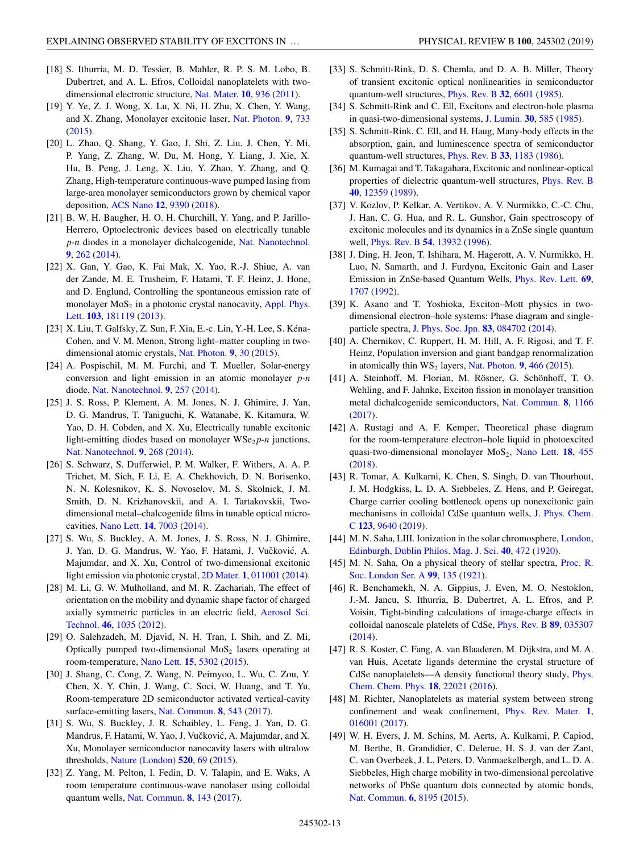- <span id="page-12-0"></span>[18] S. Ithurria, M. D. Tessier, B. Mahler, R. P. S. M. Lobo, B. Dubertret, and A. L. Efros, Colloidal nanoplatelets with twodimensional electronic structure, [Nat. Mater.](https://doi.org/10.1038/nmat3145) **[10](https://doi.org/10.1038/nmat3145)**, [936](https://doi.org/10.1038/nmat3145) [\(2011\)](https://doi.org/10.1038/nmat3145).
- [19] Y. Ye, Z. J. Wong, X. Lu, X. Ni, H. Zhu, X. Chen, Y. Wang, and X. Zhang, Monolayer excitonic laser, [Nat. Photon.](https://doi.org/10.1038/nphoton.2015.197) **[9](https://doi.org/10.1038/nphoton.2015.197)**, [733](https://doi.org/10.1038/nphoton.2015.197) [\(2015\)](https://doi.org/10.1038/nphoton.2015.197).
- [20] L. Zhao, Q. Shang, Y. Gao, J. Shi, Z. Liu, J. Chen, Y. Mi, P. Yang, Z. Zhang, W. Du, M. Hong, Y. Liang, J. Xie, X. Hu, B. Peng, J. Leng, X. Liu, Y. Zhao, Y. Zhang, and Q. Zhang, High-temperature continuous-wave pumped lasing from large-area monolayer semiconductors grown by chemical vapor deposition, [ACS Nano](https://doi.org/10.1021/acsnano.8b04511) **[12](https://doi.org/10.1021/acsnano.8b04511)**, [9390](https://doi.org/10.1021/acsnano.8b04511) [\(2018\)](https://doi.org/10.1021/acsnano.8b04511).
- [21] B. W. H. Baugher, H. O. H. Churchill, Y. Yang, and P. Jarillo-Herrero, Optoelectronic devices based on electrically tunable *p*-*n* diodes in a monolayer dichalcogenide, [Nat. Nanotechnol.](https://doi.org/10.1038/nnano.2014.25) **[9](https://doi.org/10.1038/nnano.2014.25)**, [262](https://doi.org/10.1038/nnano.2014.25) [\(2014\)](https://doi.org/10.1038/nnano.2014.25).
- [22] X. Gan, Y. Gao, K. Fai Mak, X. Yao, R.-J. Shiue, A. van der Zande, M. E. Trusheim, F. Hatami, T. F. Heinz, J. Hone, and D. Englund, Controlling the spontaneous emission rate of monolayer  $MoS<sub>2</sub>$  [in a photonic crystal nanocavity,](https://doi.org/10.1063/1.4826679) Appl. Phys. Lett. **[103](https://doi.org/10.1063/1.4826679)**, [181119](https://doi.org/10.1063/1.4826679) [\(2013\)](https://doi.org/10.1063/1.4826679).
- [23] X. Liu, T. Galfsky, Z. Sun, F. Xia, E.-c. Lin, Y.-H. Lee, S. Kéna-Cohen, and V. M. Menon, Strong light–matter coupling in twodimensional atomic crystals, [Nat. Photon.](https://doi.org/10.1038/nphoton.2014.304) **[9](https://doi.org/10.1038/nphoton.2014.304)**, [30](https://doi.org/10.1038/nphoton.2014.304) [\(2015\)](https://doi.org/10.1038/nphoton.2014.304).
- [24] A. Pospischil, M. M. Furchi, and T. Mueller, Solar-energy conversion and light emission in an atomic monolayer *p*-*n* diode, [Nat. Nanotechnol.](https://doi.org/10.1038/nnano.2014.14) **[9](https://doi.org/10.1038/nnano.2014.14)**, [257](https://doi.org/10.1038/nnano.2014.14) [\(2014\)](https://doi.org/10.1038/nnano.2014.14).
- [25] J. S. Ross, P. Klement, A. M. Jones, N. J. Ghimire, J. Yan, D. G. Mandrus, T. Taniguchi, K. Watanabe, K. Kitamura, W. Yao, D. H. Cobden, and X. Xu, Electrically tunable excitonic light-emitting diodes based on monolayer  $WSe_2 p$ -*n* junctions, [Nat. Nanotechnol.](https://doi.org/10.1038/nnano.2014.26) **[9](https://doi.org/10.1038/nnano.2014.26)**, [268](https://doi.org/10.1038/nnano.2014.26) [\(2014\)](https://doi.org/10.1038/nnano.2014.26).
- [26] S. Schwarz, S. Dufferwiel, P. M. Walker, F. Withers, A. A. P. Trichet, M. Sich, F. Li, E. A. Chekhovich, D. N. Borisenko, N. N. Kolesnikov, K. S. Novoselov, M. S. Skolnick, J. M. Smith, D. N. Krizhanovskii, and A. I. Tartakovskii, Twodimensional metal–chalcogenide films in tunable optical microcavities, [Nano Lett.](https://doi.org/10.1021/nl503312x) **[14](https://doi.org/10.1021/nl503312x)**, [7003](https://doi.org/10.1021/nl503312x) [\(2014\)](https://doi.org/10.1021/nl503312x).
- [27] S. Wu, S. Buckley, A. M. Jones, J. S. Ross, N. J. Ghimire, J. Yan, D. G. Mandrus, W. Yao, F. Hatami, J. Vučković, A. Majumdar, and X. Xu, Control of two-dimensional excitonic light emission via photonic crystal, [2D Mater.](https://doi.org/10.1088/2053-1583/1/1/011001) **[1](https://doi.org/10.1088/2053-1583/1/1/011001)**, [011001](https://doi.org/10.1088/2053-1583/1/1/011001) [\(2014\)](https://doi.org/10.1088/2053-1583/1/1/011001).
- [28] M. Li, G. W. Mulholland, and M. R. Zachariah, The effect of orientation on the mobility and dynamic shape factor of charged [axially symmetric particles in an electric field,](https://doi.org/10.1080/02786826.2012.686675) Aerosol Sci. Technol. **[46](https://doi.org/10.1080/02786826.2012.686675)**, [1035](https://doi.org/10.1080/02786826.2012.686675) [\(2012\)](https://doi.org/10.1080/02786826.2012.686675).
- [29] O. Salehzadeh, M. Djavid, N. H. Tran, I. Shih, and Z. Mi, Optically pumped two-dimensional  $MoS<sub>2</sub>$  lasers operating at room-temperature, [Nano Lett.](https://doi.org/10.1021/acs.nanolett.5b01665) **[15](https://doi.org/10.1021/acs.nanolett.5b01665)**, [5302](https://doi.org/10.1021/acs.nanolett.5b01665) [\(2015\)](https://doi.org/10.1021/acs.nanolett.5b01665).
- [30] J. Shang, C. Cong, Z. Wang, N. Peimyoo, L. Wu, C. Zou, Y. Chen, X. Y. Chin, J. Wang, C. Soci, W. Huang, and T. Yu, Room-temperature 2D semiconductor activated vertical-cavity surface-emitting lasers, [Nat. Commun.](https://doi.org/10.1038/s41467-017-00743-w) **[8](https://doi.org/10.1038/s41467-017-00743-w)**, [543](https://doi.org/10.1038/s41467-017-00743-w) [\(2017\)](https://doi.org/10.1038/s41467-017-00743-w).
- [31] S. Wu, S. Buckley, J. R. Schaibley, L. Feng, J. Yan, D. G. Mandrus, F. Hatami, W. Yao, J. Vučković, A. Majumdar, and X. Xu, Monolayer semiconductor nanocavity lasers with ultralow thresholds, [Nature \(London\)](https://doi.org/10.1038/nature14290) **[520](https://doi.org/10.1038/nature14290)**, [69](https://doi.org/10.1038/nature14290) [\(2015\)](https://doi.org/10.1038/nature14290).
- [32] Z. Yang, M. Pelton, I. Fedin, D. V. Talapin, and E. Waks, A room temperature continuous-wave nanolaser using colloidal quantum wells, [Nat. Commun.](https://doi.org/10.1038/s41467-017-00198-z) **[8](https://doi.org/10.1038/s41467-017-00198-z)**, [143](https://doi.org/10.1038/s41467-017-00198-z) [\(2017\)](https://doi.org/10.1038/s41467-017-00198-z).
- [33] S. Schmitt-Rink, D. S. Chemla, and D. A. B. Miller, Theory of transient excitonic optical nonlinearities in semiconductor quantum-well structures, [Phys. Rev. B](https://doi.org/10.1103/PhysRevB.32.6601) **[32](https://doi.org/10.1103/PhysRevB.32.6601)**, [6601](https://doi.org/10.1103/PhysRevB.32.6601) [\(1985\)](https://doi.org/10.1103/PhysRevB.32.6601).
- [34] S. Schmitt-Rink and C. Ell, Excitons and electron-hole plasma in quasi-two-dimensional systems, [J. Lumin.](https://doi.org/10.1016/0022-2313(85)90080-8) **[30](https://doi.org/10.1016/0022-2313(85)90080-8)**, [585](https://doi.org/10.1016/0022-2313(85)90080-8) [\(1985\)](https://doi.org/10.1016/0022-2313(85)90080-8).
- [35] S. Schmitt-Rink, C. Ell, and H. Haug, Many-body effects in the absorption, gain, and luminescence spectra of semiconductor quantum-well structures, [Phys. Rev. B](https://doi.org/10.1103/PhysRevB.33.1183) **[33](https://doi.org/10.1103/PhysRevB.33.1183)**, [1183](https://doi.org/10.1103/PhysRevB.33.1183) [\(1986\)](https://doi.org/10.1103/PhysRevB.33.1183).
- [36] M. Kumagai and T. Takagahara, Excitonic and nonlinear-optical properties of dielectric quantum-well structures, [Phys. Rev. B](https://doi.org/10.1103/PhysRevB.40.12359) **[40](https://doi.org/10.1103/PhysRevB.40.12359)**, [12359](https://doi.org/10.1103/PhysRevB.40.12359) [\(1989\)](https://doi.org/10.1103/PhysRevB.40.12359).
- [37] V. Kozlov, P. Kelkar, A. Vertikov, A. V. Nurmikko, C.-C. Chu, J. Han, C. G. Hua, and R. L. Gunshor, Gain spectroscopy of excitonic molecules and its dynamics in a ZnSe single quantum well, [Phys. Rev. B](https://doi.org/10.1103/PhysRevB.54.13932) **[54](https://doi.org/10.1103/PhysRevB.54.13932)**, [13932](https://doi.org/10.1103/PhysRevB.54.13932) [\(1996\)](https://doi.org/10.1103/PhysRevB.54.13932).
- [38] J. Ding, H. Jeon, T. Ishihara, M. Hagerott, A. V. Nurmikko, H. Luo, N. Samarth, and J. Furdyna, Excitonic Gain and Laser Emission in ZnSe-based Quantum Wells, [Phys. Rev. Lett.](https://doi.org/10.1103/PhysRevLett.69.1707) **[69](https://doi.org/10.1103/PhysRevLett.69.1707)**, [1707](https://doi.org/10.1103/PhysRevLett.69.1707) [\(1992\)](https://doi.org/10.1103/PhysRevLett.69.1707).
- [39] K. Asano and T. Yoshioka, Exciton–Mott physics in twodimensional electron–hole systems: Phase diagram and singleparticle spectra, [J. Phys. Soc. Jpn.](https://doi.org/10.7566/JPSJ.83.084702) **[83](https://doi.org/10.7566/JPSJ.83.084702)**, [084702](https://doi.org/10.7566/JPSJ.83.084702) [\(2014\)](https://doi.org/10.7566/JPSJ.83.084702).
- [40] A. Chernikov, C. Ruppert, H. M. Hill, A. F. Rigosi, and T. F. Heinz, Population inversion and giant bandgap renormalization in atomically thin  $WS_2$  layers, [Nat. Photon.](https://doi.org/10.1038/nphoton.2015.104) **[9](https://doi.org/10.1038/nphoton.2015.104)**, [466](https://doi.org/10.1038/nphoton.2015.104) [\(2015\)](https://doi.org/10.1038/nphoton.2015.104).
- [41] A. Steinhoff, M. Florian, M. Rösner, G. Schönhoff, T. O. Wehling, and F. Jahnke, Exciton fission in monolayer transition metal dichalcogenide semiconductors, [Nat. Commun.](https://doi.org/10.1038/s41467-017-01298-6) **[8](https://doi.org/10.1038/s41467-017-01298-6)**, [1166](https://doi.org/10.1038/s41467-017-01298-6) [\(2017\)](https://doi.org/10.1038/s41467-017-01298-6).
- [42] A. Rustagi and A. F. Kemper, Theoretical phase diagram for the room-temperature electron–hole liquid in photoexcited quasi-two-dimensional monolayer MoS<sub>2</sub>, [Nano Lett.](https://doi.org/10.1021/acs.nanolett.7b04377) **[18](https://doi.org/10.1021/acs.nanolett.7b04377)**, [455](https://doi.org/10.1021/acs.nanolett.7b04377) [\(2018\)](https://doi.org/10.1021/acs.nanolett.7b04377).
- [43] R. Tomar, A. Kulkarni, K. Chen, S. Singh, D. van Thourhout, J. M. Hodgkiss, L. D. A. Siebbeles, Z. Hens, and P. Geiregat, Charge carrier cooling bottleneck opens up nonexcitonic gain [mechanisms in colloidal CdSe quantum wells,](https://doi.org/10.1021/acs.jpcc.9b02085) J. Phys. Chem. C **[123](https://doi.org/10.1021/acs.jpcc.9b02085)**, [9640](https://doi.org/10.1021/acs.jpcc.9b02085) [\(2019\)](https://doi.org/10.1021/acs.jpcc.9b02085).
- [44] [M. N. Saha, LIII. Ionization in the solar chromosphere,](https://doi.org/10.1080/14786441008636148) London, Edinburgh, Dublin Philos. Mag. J. Sci. **[40](https://doi.org/10.1080/14786441008636148)**, [472](https://doi.org/10.1080/14786441008636148) [\(1920\)](https://doi.org/10.1080/14786441008636148).
- [45] [M. N. Saha, On a physical theory of stellar spectra,](https://doi.org/10.1098/rspa.1921.0029) Proc. R. Soc. London Ser. A **[99](https://doi.org/10.1098/rspa.1921.0029)**, [135](https://doi.org/10.1098/rspa.1921.0029) [\(1921\)](https://doi.org/10.1098/rspa.1921.0029).
- [46] R. Benchamekh, N. A. Gippius, J. Even, M. O. Nestoklon, J.-M. Jancu, S. Ithurria, B. Dubertret, A. L. Efros, and P. Voisin, Tight-binding calculations of image-charge effects in colloidal nanoscale platelets of CdSe, [Phys. Rev. B](https://doi.org/10.1103/PhysRevB.89.035307) **[89](https://doi.org/10.1103/PhysRevB.89.035307)**, [035307](https://doi.org/10.1103/PhysRevB.89.035307) [\(2014\)](https://doi.org/10.1103/PhysRevB.89.035307).
- [47] R. S. Koster, C. Fang, A. van Blaaderen, M. Dijkstra, and M. A. van Huis, Acetate ligands determine the crystal structure of [CdSe nanoplatelets—A density functional theory study,](https://doi.org/10.1039/C6CP04935D) Phys. Chem. Chem. Phys. **[18](https://doi.org/10.1039/C6CP04935D)**, [22021](https://doi.org/10.1039/C6CP04935D) [\(2016\)](https://doi.org/10.1039/C6CP04935D).
- [48] M. Richter, Nanoplatelets as material system between strong confinement and weak confinement, [Phys. Rev. Mater.](https://doi.org/10.1103/PhysRevMaterials.1.016001) **[1](https://doi.org/10.1103/PhysRevMaterials.1.016001)**, [016001](https://doi.org/10.1103/PhysRevMaterials.1.016001) [\(2017\)](https://doi.org/10.1103/PhysRevMaterials.1.016001).
- [49] W. H. Evers, J. M. Schins, M. Aerts, A. Kulkarni, P. Capiod, M. Berthe, B. Grandidier, C. Delerue, H. S. J. van der Zant, C. van Overbeek, J. L. Peters, D. Vanmaekelbergh, and L. D. A. Siebbeles, High charge mobility in two-dimensional percolative networks of PbSe quantum dots connected by atomic bonds, [Nat. Commun.](https://doi.org/10.1038/ncomms9195) **[6](https://doi.org/10.1038/ncomms9195)**, [8195](https://doi.org/10.1038/ncomms9195) [\(2015\)](https://doi.org/10.1038/ncomms9195).